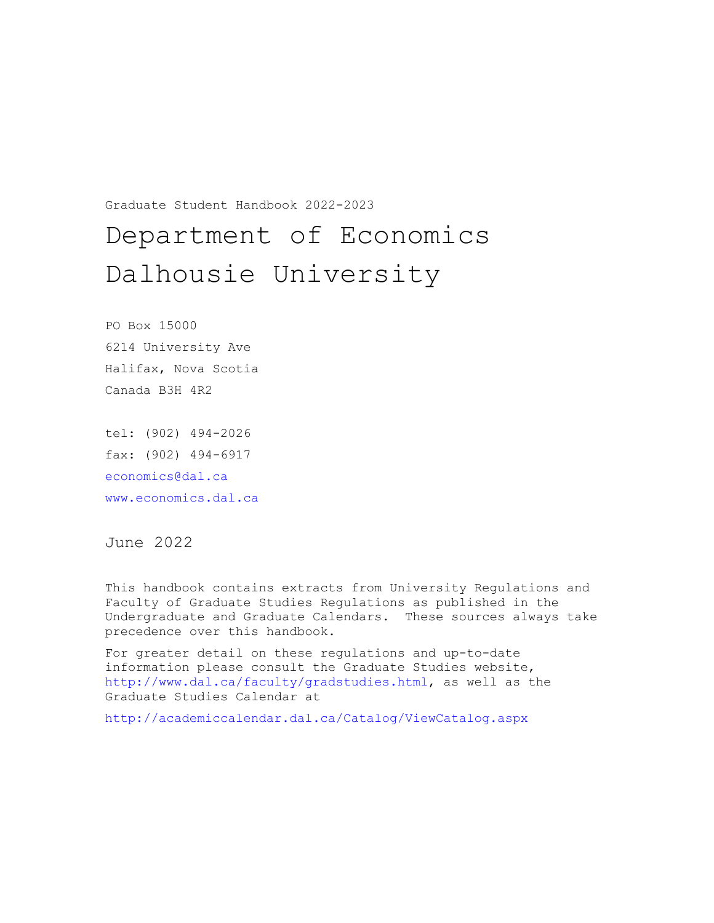Graduate Student Handbook 2022-2023

# Department of Economics Dalhousie University

PO Box 15000 6214 University Ave Halifax, Nova Scotia Canada B3H 4R2

tel: (902) 494-2026 fax: (902) 494-6917 [economics@dal.ca](mailto:economics@dal.ca) [www.economics.dal.ca](http://www.economics.dal.ca/)

June 2022

This handbook contains extracts from University Regulations and Faculty of Graduate Studies Regulations as published in the Undergraduate and Graduate Calendars. These sources always take precedence over this handbook.

For greater detail on these regulations and up-to-date information please consult the Graduate Studies website, [http://www.dal.ca/faculty/gradstudies.html,](http://www.dal.ca/faculty/gradstudies.html) as well as the Graduate Studies Calendar at

<http://academiccalendar.dal.ca/Catalog/ViewCatalog.aspx>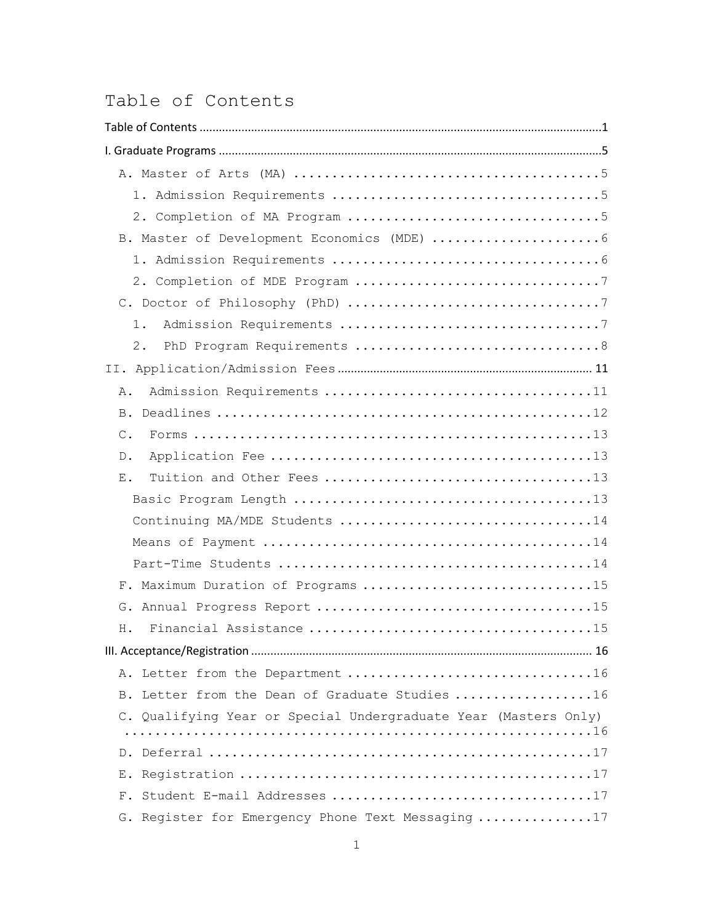## <span id="page-1-0"></span>Table of Contents

| B. Master of Development Economics (MDE)  6                     |
|-----------------------------------------------------------------|
|                                                                 |
|                                                                 |
|                                                                 |
| $1$ .                                                           |
| $2$ .                                                           |
|                                                                 |
| $A$ .                                                           |
| <b>B.</b>                                                       |
| $\mathcal{C}$ .                                                 |
| $D$ .                                                           |
| $\boldsymbol{\mathrm{E}}$ .                                     |
|                                                                 |
| Continuing MA/MDE Students 14                                   |
|                                                                 |
|                                                                 |
| F. Maximum Duration of Programs 15                              |
|                                                                 |
| H.                                                              |
|                                                                 |
|                                                                 |
| B. Letter from the Dean of Graduate Studies 16                  |
| C. Qualifying Year or Special Undergraduate Year (Masters Only) |
|                                                                 |
|                                                                 |
| Ε.                                                              |
|                                                                 |
| G. Register for Emergency Phone Text Messaging 17               |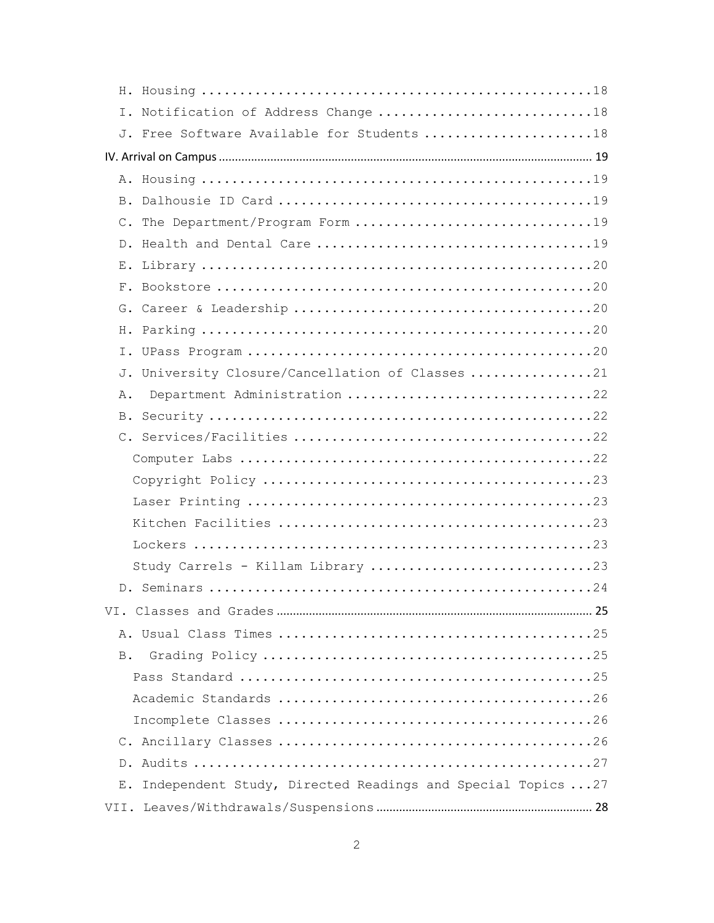| I. Notification of Address Change 18                                           |
|--------------------------------------------------------------------------------|
| J. Free Software Available for Students 18                                     |
|                                                                                |
|                                                                                |
|                                                                                |
| C. The Department/Program Form 19                                              |
|                                                                                |
| Ε.                                                                             |
|                                                                                |
|                                                                                |
|                                                                                |
|                                                                                |
| J. University Closure/Cancellation of Classes 21                               |
| Department Administration 22<br>Α.                                             |
| B.                                                                             |
|                                                                                |
|                                                                                |
|                                                                                |
|                                                                                |
|                                                                                |
|                                                                                |
| Study Carrels - Killam Library 23                                              |
|                                                                                |
|                                                                                |
|                                                                                |
|                                                                                |
|                                                                                |
|                                                                                |
|                                                                                |
|                                                                                |
|                                                                                |
| Independent Study, Directed Readings and Special Topics  27<br>$E_{\bullet}$ . |
|                                                                                |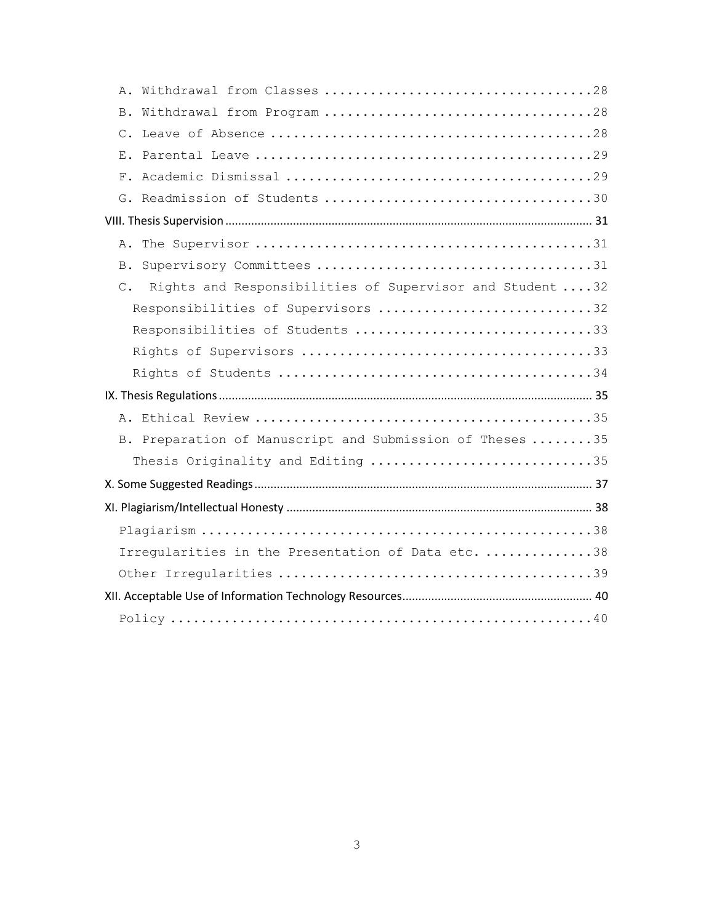| Rights and Responsibilities of Supervisor and Student  32<br>$\mathbb{C}$ . |
|-----------------------------------------------------------------------------|
| Responsibilities of Supervisors 32                                          |
| Responsibilities of Students 33                                             |
|                                                                             |
|                                                                             |
|                                                                             |
|                                                                             |
| B. Preparation of Manuscript and Submission of Theses 35                    |
| Thesis Originality and Editing 35                                           |
|                                                                             |
|                                                                             |
|                                                                             |
| Irregularities in the Presentation of Data etc. 38                          |
|                                                                             |
|                                                                             |
|                                                                             |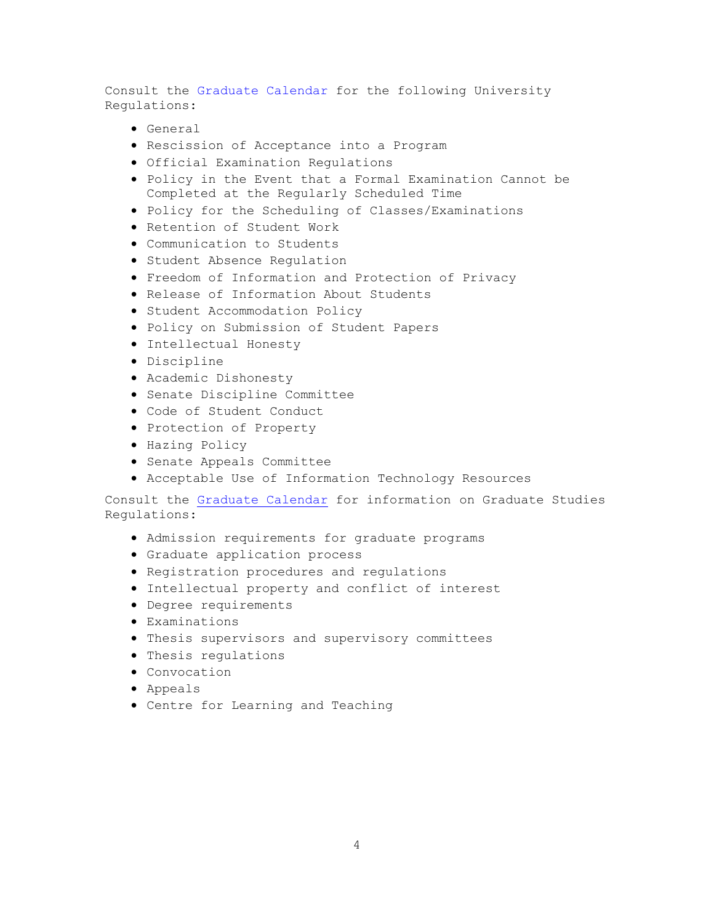Consult the [Graduate Calendar](https://academiccalendar.dal.ca/~/Catalog/ViewCatalog.aspx?pageid=viewcatalog&catalogid=112&topicgroupid=30778) for the following University Regulations:

- General
- Rescission of Acceptance into a Program
- Official Examination Regulations
- Policy in the Event that a Formal Examination Cannot be Completed at the Regularly Scheduled Time
- Policy for the Scheduling of Classes/Examinations
- Retention of Student Work
- Communication to Students
- Student Absence Regulation
- Freedom of Information and Protection of Privacy
- Release of Information About Students
- Student Accommodation Policy
- Policy on Submission of Student Papers
- Intellectual Honesty
- Discipline
- Academic Dishonesty
- Senate Discipline Committee
- Code of Student Conduct
- Protection of Property
- Hazing Policy
- Senate Appeals Committee
- Acceptable Use of Information Technology Resources

Consult the [Graduate Calendar](https://academiccalendar.dal.ca/~/Catalog/ViewCatalog.aspx?pageid=viewcatalog&catalogid=112&topicgroupid=30778) for information on Graduate Studies Regulations:

- Admission requirements for graduate programs
- Graduate application process
- Registration procedures and regulations
- Intellectual property and conflict of interest
- Degree requirements
- Examinations
- Thesis supervisors and supervisory committees
- Thesis regulations
- Convocation
- Appeals
- Centre for Learning and Teaching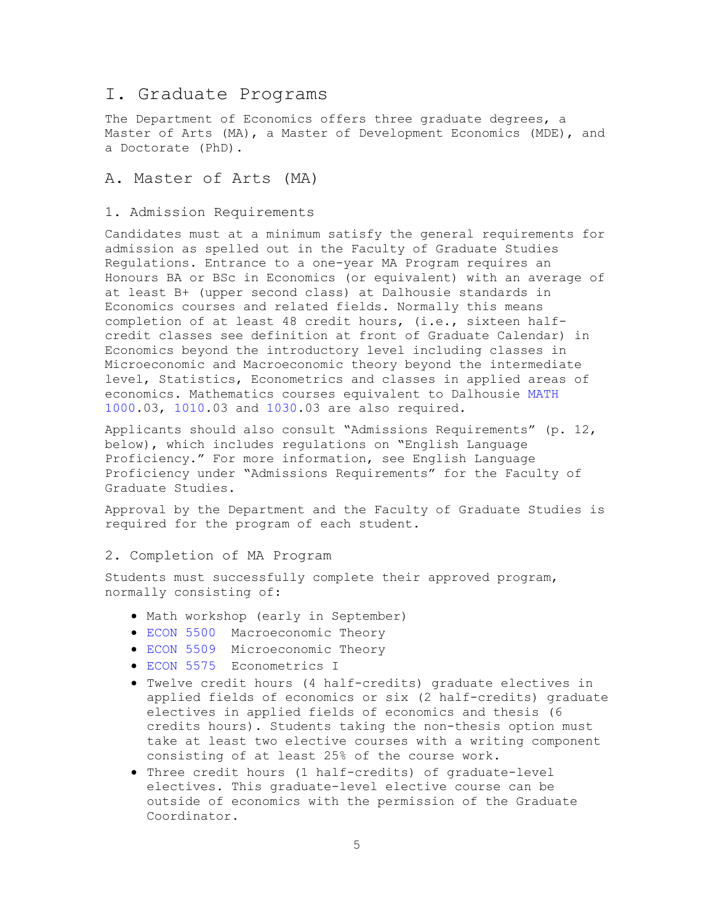## <span id="page-5-0"></span>I. Graduate Programs

The Department of Economics offers three graduate degrees, a Master of Arts (MA), a Master of Development Economics (MDE), and a Doctorate (PhD).

## <span id="page-5-1"></span>A. Master of Arts (MA)

## <span id="page-5-2"></span>1. Admission Requirements

Candidates must at a minimum satisfy the general requirements for admission as spelled out in the Faculty of Graduate Studies Regulations. Entrance to a one-year MA Program requires an Honours BA or BSc in Economics (or equivalent) with an average of at least B+ (upper second class) at Dalhousie standards in Economics courses and related fields. Normally this means completion of at least 48 credit hours, (i.e., sixteen halfcredit classes see definition at front of Graduate Calendar) in Economics beyond the introductory level including classes in Microeconomic and Macroeconomic theory beyond the intermediate level, Statistics, Econometrics and classes in applied areas of economics. Mathematics courses equivalent to Dalhousie [MATH](https://academiccalendar.dal.ca/Catalog/ViewCatalog.aspx?pageid=viewcatalog&entitytype=CID&entitycode=MATH%201000)  [1000.](https://academiccalendar.dal.ca/Catalog/ViewCatalog.aspx?pageid=viewcatalog&entitytype=CID&entitycode=MATH%201000)03, [1010.](http://academiccalendar.dal.ca/Catalog/ViewCatalog.aspx?pageid=viewcatalog&entitytype=CID&entitycode=MATH%201010)03 and [1030.](http://academiccalendar.dal.ca/Catalog/ViewCatalog.aspx?pageid=viewcatalog&entitytype=CID&entitycode=MATH%201030)03 are also required.

Applicants should also consult "Admissions Requirements" (p. 12, below), which includes regulations on "English Language Proficiency." For more information, see English Language Proficiency under "Admissions Requirements" for the Faculty of Graduate Studies.

Approval by the Department and the Faculty of Graduate Studies is required for the program of each student.

#### <span id="page-5-3"></span>2. Completion of MA Program

Students must successfully complete their approved program, normally consisting of:

- Math workshop (early in September)
- [ECON 5500](http://academiccalendar.dal.ca/Catalog/ViewCatalog.aspx?pageid=viewcatalog&entitytype=CID&entitycode=ECON%205500) Macroeconomic Theory
- [ECON 5509](http://academiccalendar.dal.ca/Catalog/ViewCatalog.aspx?pageid=viewcatalog&entitytype=CID&entitycode=ECON%205509) Microeconomic Theory
- [ECON 5575](http://academiccalendar.dal.ca/Catalog/ViewCatalog.aspx?pageid=viewcatalog&entitytype=CID&entitycode=ECON%205575) Econometrics I
- Twelve credit hours (4 half-credits) graduate electives in applied fields of economics or six (2 half-credits) graduate electives in applied fields of economics and thesis (6 credits hours). Students taking the non-thesis option must take at least two elective courses with a writing component consisting of at least 25% of the course work.
- Three credit hours (1 half-credits) of graduate-level electives. This graduate-level elective course can be outside of economics with the permission of the Graduate Coordinator.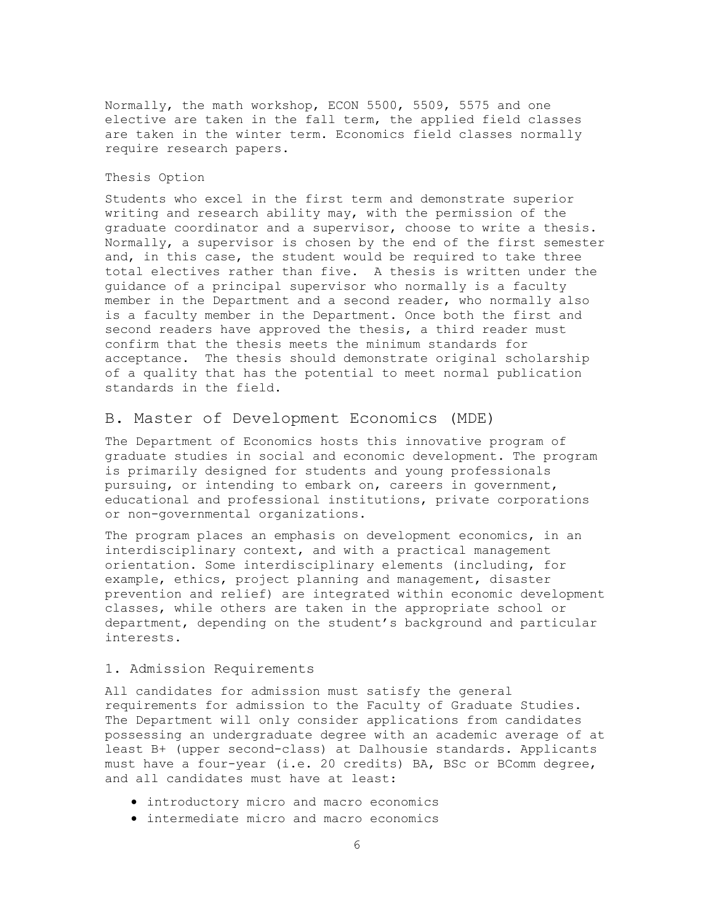Normally, the math workshop, ECON 5500, 5509, 5575 and one elective are taken in the fall term, the applied field classes are taken in the winter term. Economics field classes normally require research papers.

#### Thesis Option

Students who excel in the first term and demonstrate superior writing and research ability may, with the permission of the graduate coordinator and a supervisor, choose to write a thesis. Normally, a supervisor is chosen by the end of the first semester and, in this case, the student would be required to take three total electives rather than five. A thesis is written under the guidance of a principal supervisor who normally is a faculty member in the Department and a second reader, who normally also is a faculty member in the Department. Once both the first and second readers have approved the thesis, a third reader must confirm that the thesis meets the minimum standards for acceptance. The thesis should demonstrate original scholarship of a quality that has the potential to meet normal publication standards in the field.

#### <span id="page-6-0"></span>B. Master of Development Economics (MDE)

The Department of Economics hosts this innovative program of graduate studies in social and economic development. The program is primarily designed for students and young professionals pursuing, or intending to embark on, careers in government, educational and professional institutions, private corporations or non-governmental organizations.

The program places an emphasis on development economics, in an interdisciplinary context, and with a practical management orientation. Some interdisciplinary elements (including, for example, ethics, project planning and management, disaster prevention and relief) are integrated within economic development classes, while others are taken in the appropriate school or department, depending on the student's background and particular interests.

#### <span id="page-6-1"></span>1. Admission Requirements

All candidates for admission must satisfy the general requirements for admission to the Faculty of Graduate Studies. The Department will only consider applications from candidates possessing an undergraduate degree with an academic average of at least B+ (upper second-class) at Dalhousie standards. Applicants must have a four-year (i.e. 20 credits) BA, BSc or BComm degree, and all candidates must have at least:

- introductory micro and macro economics
- intermediate micro and macro economics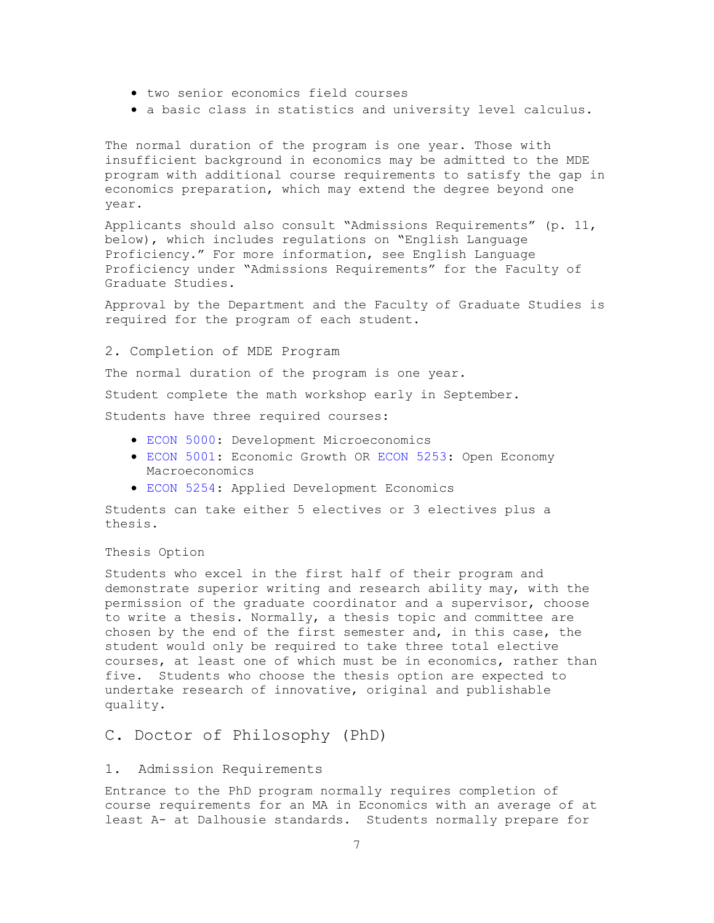- two senior economics field courses
- a basic class in statistics and university level calculus.

The normal duration of the program is one year. Those with insufficient background in economics may be admitted to the MDE program with additional course requirements to satisfy the gap in economics preparation, which may extend the degree beyond one year.

Applicants should also consult "Admissions Requirements" (p. 11, below), which includes regulations on "English Language Proficiency." For more information, see English Language Proficiency under "Admissions Requirements" for the Faculty of Graduate Studies.

Approval by the Department and the Faculty of Graduate Studies is required for the program of each student.

#### <span id="page-7-0"></span>2. Completion of MDE Program

The normal duration of the program is one year.

Student complete the math workshop early in September.

Students have three required courses:

- [ECON 5000:](http://academiccalendar.dal.ca/Catalog/ViewCatalog.aspx?pageid=viewcatalog&entitytype=CID&entitycode=ECON%205000) Development Microeconomics
- [ECON 5001:](http://academiccalendar.dal.ca/Catalog/ViewCatalog.aspx?pageid=viewcatalog&entitytype=CID&entitycode=ECON%205001) Economic Growth OR [ECON 5253:](http://academiccalendar.dal.ca/Catalog/ViewCatalog.aspx?pageid=viewcatalog&entitytype=CID&entitycode=ECON%205253) Open Economy Macroeconomics
- [ECON 5254:](http://academiccalendar.dal.ca/Catalog/ViewCatalog.aspx?pageid=viewcatalog&entitytype=CID&entitycode=ECON%205254) Applied Development Economics

Students can take either 5 electives or 3 electives plus a thesis.

### Thesis Option

Students who excel in the first half of their program and demonstrate superior writing and research ability may, with the permission of the graduate coordinator and a supervisor, choose to write a thesis. Normally, a thesis topic and committee are chosen by the end of the first semester and, in this case, the student would only be required to take three total elective courses, at least one of which must be in economics, rather than five. Students who choose the thesis option are expected to undertake research of innovative, original and publishable quality.

## <span id="page-7-1"></span>C. Doctor of Philosophy (PhD)

#### <span id="page-7-2"></span>1. Admission Requirements

Entrance to the PhD program normally requires completion of course requirements for an MA in Economics with an average of at least A- at Dalhousie standards. Students normally prepare for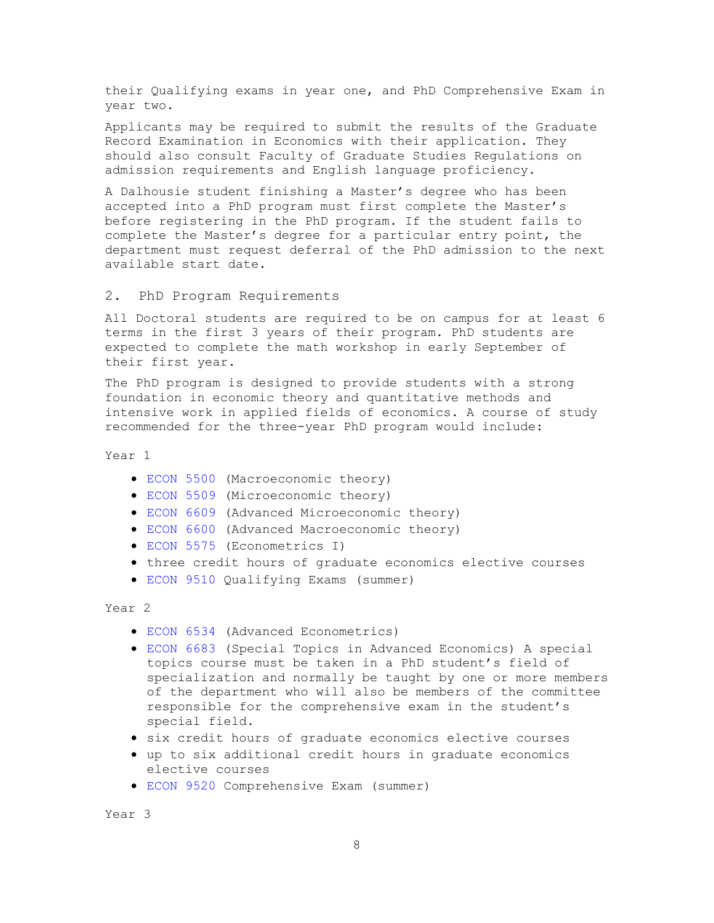their Qualifying exams in year one, and PhD Comprehensive Exam in year two.

Applicants may be required to submit the results of the Graduate Record Examination in Economics with their application. They should also consult Faculty of Graduate Studies Regulations on admission requirements and English language proficiency.

A Dalhousie student finishing a Master's degree who has been accepted into a PhD program must first complete the Master's before registering in the PhD program. If the student fails to complete the Master's degree for a particular entry point, the department must request deferral of the PhD admission to the next available start date.

#### <span id="page-8-0"></span>2. PhD Program Requirements

All Doctoral students are required to be on campus for at least 6 terms in the first 3 years of their program. PhD students are expected to complete the math workshop in early September of their first year.

The PhD program is designed to provide students with a strong foundation in economic theory and quantitative methods and intensive work in applied fields of economics. A course of study recommended for the three-year PhD program would include:

Year 1

- [ECON 5500](https://academiccalendar.dal.ca/Catalog/ViewCatalog.aspx?pageid=viewcatalog&entitytype=CID&entitycode=ECON%205500) (Macroeconomic theory)
- [ECON 5509](https://academiccalendar.dal.ca/Catalog/ViewCatalog.aspx?pageid=viewcatalog&entitytype=CID&entitycode=ECON%205509) (Microeconomic theory)
- [ECON 6609](https://academiccalendar.dal.ca/Catalog/ViewCatalog.aspx?pageid=viewcatalog&entitytype=CID&entitycode=ECON%206609) (Advanced Microeconomic theory)
- [ECON 6600](https://academiccalendar.dal.ca/Catalog/ViewCatalog.aspx?pageid=viewcatalog&entitytype=CID&entitycode=ECON%206600) (Advanced Macroeconomic theory)
- [ECON 5575](https://academiccalendar.dal.ca/Catalog/ViewCatalog.aspx?pageid=viewcatalog&entitytype=CID&entitycode=ECON%205575) (Econometrics I)
- three credit hours of graduate economics elective courses
- [ECON 9510](https://academiccalendar.dal.ca/Catalog/ViewCatalog.aspx?pageid=viewcatalog&entitytype=CID&entitycode=ECON%209510) Qualifying Exams (summer)

Year 2

- [ECON 6534](https://academiccalendar.dal.ca/Catalog/ViewCatalog.aspx?pageid=viewcatalog&entitytype=CID&entitycode=ECON%206534) (Advanced Econometrics)
- [ECON 6683](https://academiccalendar.dal.ca/Catalog/ViewCatalog.aspx?pageid=viewcatalog&entitytype=CID&entitycode=ECON%206683) (Special Topics in Advanced Economics) A special topics course must be taken in a PhD student's field of specialization and normally be taught by one or more members of the department who will also be members of the committee responsible for the comprehensive exam in the student's special field.
- six credit hours of graduate economics elective courses
- up to six additional credit hours in graduate economics elective courses
- [ECON 9520](https://academiccalendar.dal.ca/Catalog/ViewCatalog.aspx?pageid=viewcatalog&entitytype=CID&entitycode=ECON%209520) Comprehensive Exam (summer)

Year 3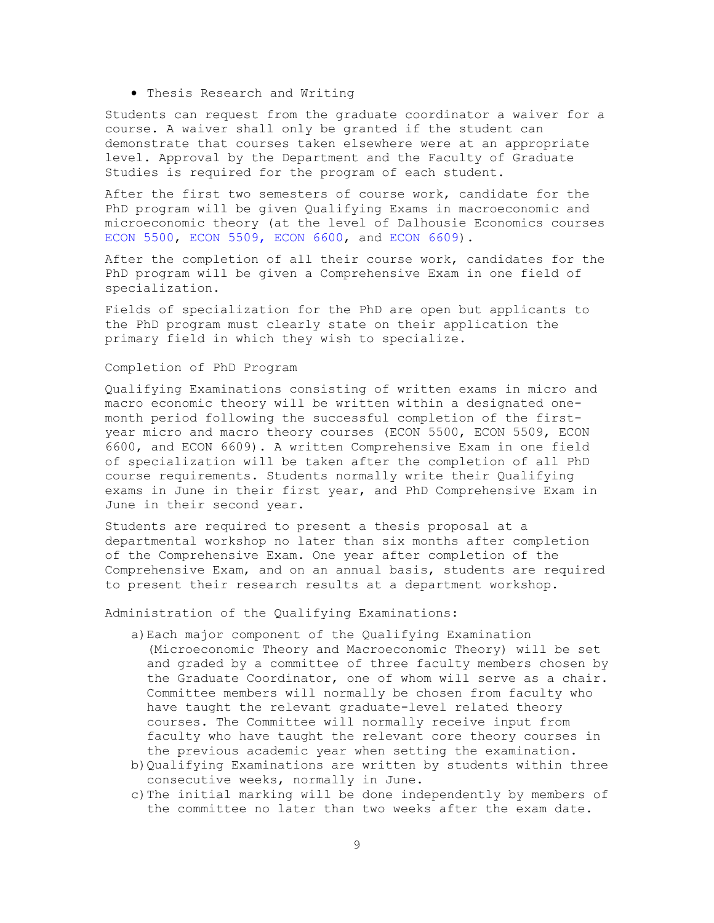• Thesis Research and Writing

Students can request from the graduate coordinator a waiver for a course. A waiver shall only be granted if the student can demonstrate that courses taken elsewhere were at an appropriate level. Approval by the Department and the Faculty of Graduate Studies is required for the program of each student.

After the first two semesters of course work, candidate for the PhD program will be given Qualifying Exams in macroeconomic and microeconomic theory (at the level of Dalhousie Economics courses [ECON 5500,](https://academiccalendar.dal.ca/Catalog/ViewCatalog.aspx?pageid=viewcatalog&entitytype=CID&entitycode=ECON%205500) [ECON 5509,](https://academiccalendar.dal.ca/Catalog/ViewCatalog.aspx?pageid=viewcatalog&entitytype=CID&entitycode=ECON%205509) [ECON 6600,](https://academiccalendar.dal.ca/Catalog/ViewCatalog.aspx?pageid=viewcatalog&entitytype=CID&entitycode=ECON%206600) and [ECON 6609\)](https://academiccalendar.dal.ca/Catalog/ViewCatalog.aspx?pageid=viewcatalog&entitytype=CID&entitycode=ECON%206609).

After the completion of all their course work, candidates for the PhD program will be given a Comprehensive Exam in one field of specialization.

Fields of specialization for the PhD are open but applicants to the PhD program must clearly state on their application the primary field in which they wish to specialize.

#### Completion of PhD Program

Qualifying Examinations consisting of written exams in micro and macro economic theory will be written within a designated onemonth period following the successful completion of the firstyear micro and macro theory courses (ECON 5500, ECON 5509, ECON 6600, and ECON 6609). A written Comprehensive Exam in one field of specialization will be taken after the completion of all PhD course requirements. Students normally write their Qualifying exams in June in their first year, and PhD Comprehensive Exam in June in their second year.

Students are required to present a thesis proposal at a departmental workshop no later than six months after completion of the Comprehensive Exam. One year after completion of the Comprehensive Exam, and on an annual basis, students are required to present their research results at a department workshop.

Administration of the Qualifying Examinations:

- a)Each major component of the Qualifying Examination (Microeconomic Theory and Macroeconomic Theory) will be set and graded by a committee of three faculty members chosen by the Graduate Coordinator, one of whom will serve as a chair. Committee members will normally be chosen from faculty who have taught the relevant graduate-level related theory courses. The Committee will normally receive input from faculty who have taught the relevant core theory courses in the previous academic year when setting the examination.
- b)Qualifying Examinations are written by students within three consecutive weeks, normally in June.
- c) The initial marking will be done independently by members of the committee no later than two weeks after the exam date.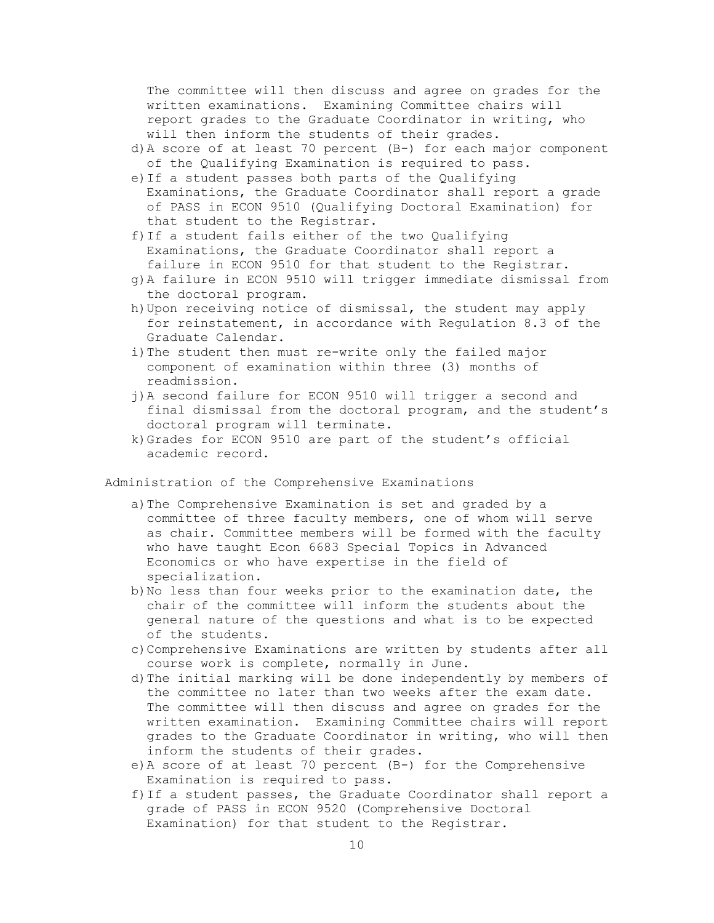The committee will then discuss and agree on grades for the written examinations. Examining Committee chairs will report grades to the Graduate Coordinator in writing, who will then inform the students of their grades.

- d)A score of at least 70 percent (B-) for each major component of the Qualifying Examination is required to pass.
- e)If a student passes both parts of the Qualifying Examinations, the Graduate Coordinator shall report a grade of PASS in ECON 9510 (Qualifying Doctoral Examination) for that student to the Registrar.
- f)If a student fails either of the two Qualifying Examinations, the Graduate Coordinator shall report a failure in ECON 9510 for that student to the Registrar.
- g)A failure in ECON 9510 will trigger immediate dismissal from the doctoral program.
- h)Upon receiving notice of dismissal, the student may apply for reinstatement, in accordance with Regulation 8.3 of the Graduate Calendar.
- i) The student then must re-write only the failed major component of examination within three (3) months of readmission.
- j)A second failure for ECON 9510 will trigger a second and final dismissal from the doctoral program, and the student's doctoral program will terminate.
- k)Grades for ECON 9510 are part of the student's official academic record.

Administration of the Comprehensive Examinations

- a)The Comprehensive Examination is set and graded by a committee of three faculty members, one of whom will serve as chair. Committee members will be formed with the faculty who have taught Econ 6683 Special Topics in Advanced Economics or who have expertise in the field of specialization.
- b)No less than four weeks prior to the examination date, the chair of the committee will inform the students about the general nature of the questions and what is to be expected of the students.
- c)Comprehensive Examinations are written by students after all course work is complete, normally in June.
- d)The initial marking will be done independently by members of the committee no later than two weeks after the exam date. The committee will then discuss and agree on grades for the written examination. Examining Committee chairs will report grades to the Graduate Coordinator in writing, who will then inform the students of their grades.
- e)A score of at least 70 percent (B-) for the Comprehensive Examination is required to pass.
- f)If a student passes, the Graduate Coordinator shall report a grade of PASS in ECON 9520 (Comprehensive Doctoral Examination) for that student to the Registrar.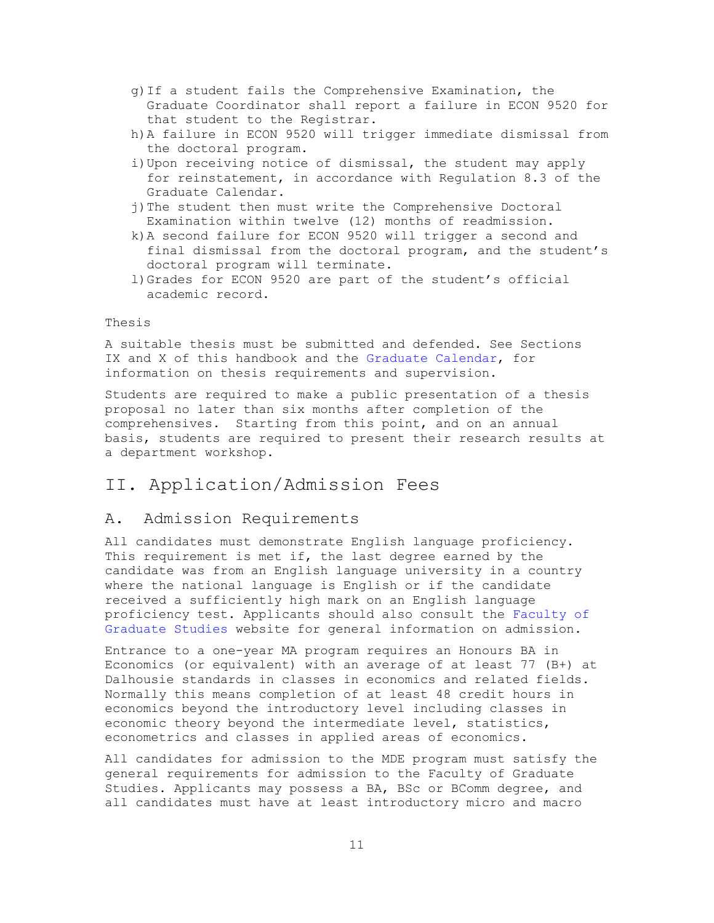- g)If a student fails the Comprehensive Examination, the Graduate Coordinator shall report a failure in ECON 9520 for that student to the Registrar.
- h)A failure in ECON 9520 will trigger immediate dismissal from the doctoral program.
- i)Upon receiving notice of dismissal, the student may apply for reinstatement, in accordance with Regulation 8.3 of the Graduate Calendar.
- j)The student then must write the Comprehensive Doctoral Examination within twelve (12) months of readmission.
- k)A second failure for ECON 9520 will trigger a second and final dismissal from the doctoral program, and the student's doctoral program will terminate.
- l)Grades for ECON 9520 are part of the student's official academic record.

#### Thesis

A suitable thesis must be submitted and defended. See Sections IX and X of this handbook and the [Graduate Calendar,](https://academiccalendar.dal.ca/Catalog/ViewCatalog.aspx) for information on thesis requirements and supervision.

Students are required to make a public presentation of a thesis proposal no later than six months after completion of the comprehensives. Starting from this point, and on an annual basis, students are required to present their research results at a department workshop.

## <span id="page-11-0"></span>II. Application/Admission Fees

### <span id="page-11-1"></span>A. Admission Requirements

All candidates must demonstrate English language proficiency. This requirement is met if, the last degree earned by the candidate was from an English language university in a country where the national language is English or if the candidate received a sufficiently high mark on an English language proficiency test. Applicants should also consult the [Faculty of](https://www.dal.ca/faculty/gradstudies/graduate-programs-admissions/admission_requirements.html)  [Graduate Studies](https://www.dal.ca/faculty/gradstudies/graduate-programs-admissions/admission_requirements.html) website for general information on admission.

Entrance to a one-year MA program requires an Honours BA in Economics (or equivalent) with an average of at least 77 (B+) at Dalhousie standards in classes in economics and related fields. Normally this means completion of at least 48 credit hours in economics beyond the introductory level including classes in economic theory beyond the intermediate level, statistics, econometrics and classes in applied areas of economics.

All candidates for admission to the MDE program must satisfy the general requirements for admission to the Faculty of Graduate Studies. Applicants may possess a BA, BSc or BComm degree, and all candidates must have at least introductory micro and macro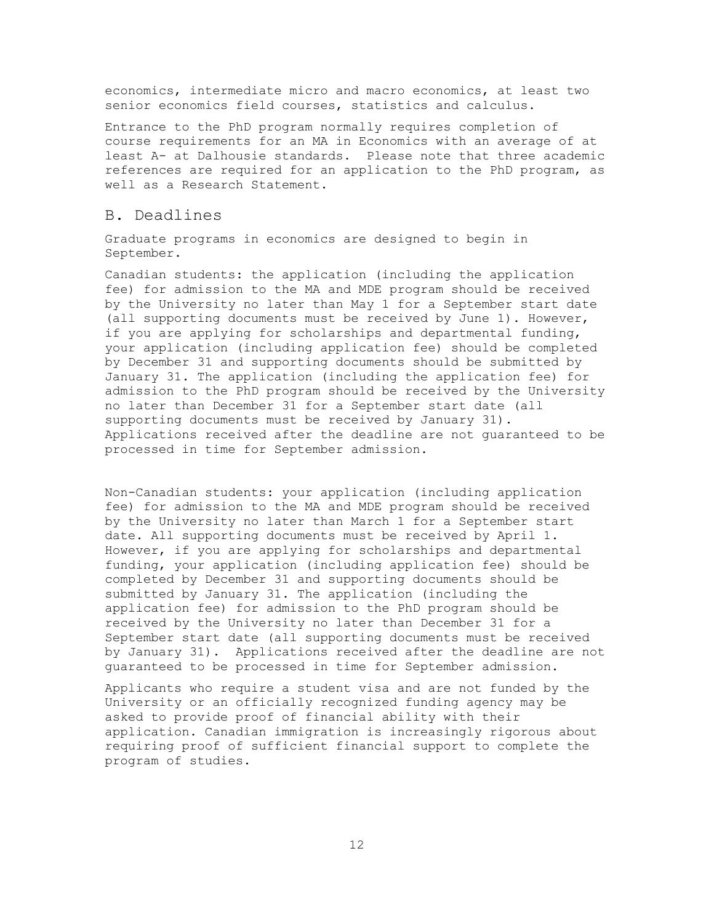economics, intermediate micro and macro economics, at least two senior economics field courses, statistics and calculus.

Entrance to the PhD program normally requires completion of course requirements for an MA in Economics with an average of at least A- at Dalhousie standards. Please note that three academic references are required for an application to the PhD program, as well as a Research Statement.

#### <span id="page-12-0"></span>B. Deadlines

Graduate programs in economics are designed to begin in September.

Canadian students: the application (including the application fee) for admission to the MA and MDE program should be received by the University no later than May 1 for a September start date (all supporting documents must be received by June 1). However, if you are applying for scholarships and departmental funding, your application (including application fee) should be completed by December 31 and supporting documents should be submitted by January 31. The application (including the application fee) for admission to the PhD program should be received by the University no later than December 31 for a September start date (all supporting documents must be received by January 31). Applications received after the deadline are not guaranteed to be processed in time for September admission.

Non-Canadian students: your application (including application fee) for admission to the MA and MDE program should be received by the University no later than March 1 for a September start date. All supporting documents must be received by April 1. However, if you are applying for scholarships and departmental funding, your application (including application fee) should be completed by December 31 and supporting documents should be submitted by January 31. The application (including the application fee) for admission to the PhD program should be received by the University no later than December 31 for a September start date (all supporting documents must be received by January 31). Applications received after the deadline are not guaranteed to be processed in time for September admission.

Applicants who require a student visa and are not funded by the University or an officially recognized funding agency may be asked to provide proof of financial ability with their application. Canadian immigration is increasingly rigorous about requiring proof of sufficient financial support to complete the program of studies.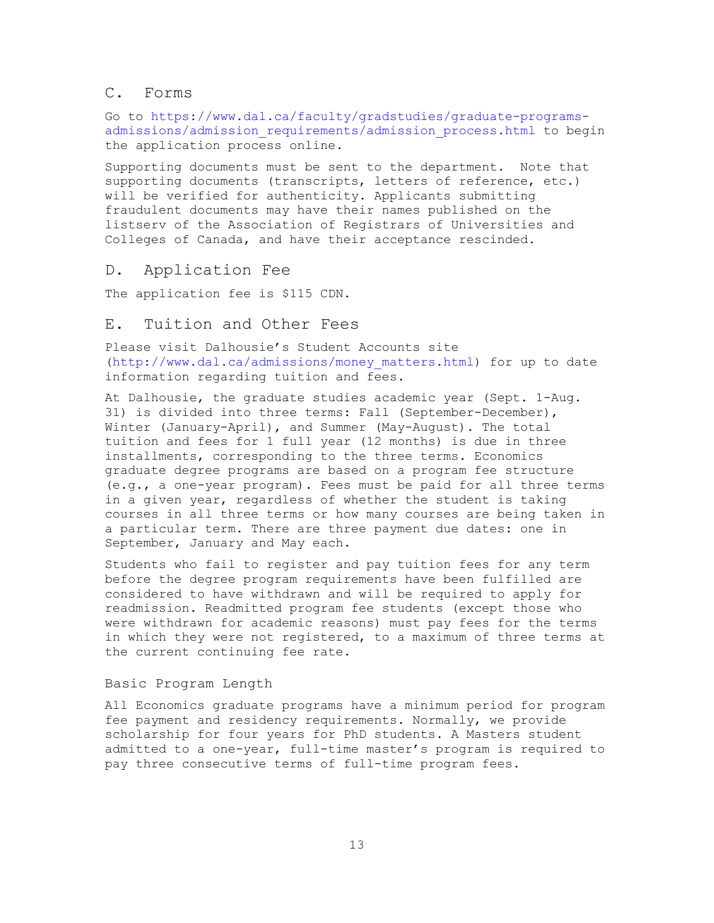### <span id="page-13-0"></span>C. Forms

Go to [https://www.dal.ca/faculty/gradstudies/graduate-programs](https://www.dal.ca/faculty/gradstudies/graduate-programs-admissions/admission_requirements/admission_process.html)[admissions/admission\\_requirements/admission\\_process.html](https://www.dal.ca/faculty/gradstudies/graduate-programs-admissions/admission_requirements/admission_process.html) to begin the application process online.

Supporting documents must be sent to the department. Note that supporting documents (transcripts, letters of reference, etc.) will be verified for authenticity. Applicants submitting fraudulent documents may have their names published on the listserv of the Association of Registrars of Universities and Colleges of Canada, and have their acceptance rescinded.

#### <span id="page-13-1"></span>D. Application Fee

The application fee is \$115 CDN.

#### <span id="page-13-2"></span>E. Tuition and Other Fees

Please visit Dalhousie's Student Accounts site [\(http://www.dal.ca/admissions/money\\_matters.html\)](http://www.dal.ca/admissions/money_matters.html) for up to date information regarding tuition and fees.

At Dalhousie, the graduate studies academic year (Sept. 1-Aug. 31) is divided into three terms: Fall (September-December), Winter (January-April), and Summer (May-August). The total tuition and fees for 1 full year (12 months) is due in three installments, corresponding to the three terms. Economics graduate degree programs are based on a program fee structure (e.g., a one-year program). Fees must be paid for all three terms in a given year, regardless of whether the student is taking courses in all three terms or how many courses are being taken in a particular term. There are three payment due dates: one in September, January and May each.

Students who fail to register and pay tuition fees for any term before the degree program requirements have been fulfilled are considered to have withdrawn and will be required to apply for readmission. Readmitted program fee students (except those who were withdrawn for academic reasons) must pay fees for the terms in which they were not registered, to a maximum of three terms at the current continuing fee rate.

#### <span id="page-13-3"></span>Basic Program Length

All Economics graduate programs have a minimum period for program fee payment and residency requirements. Normally, we provide scholarship for four years for PhD students. A Masters student admitted to a one-year, full-time master's program is required to pay three consecutive terms of full-time program fees.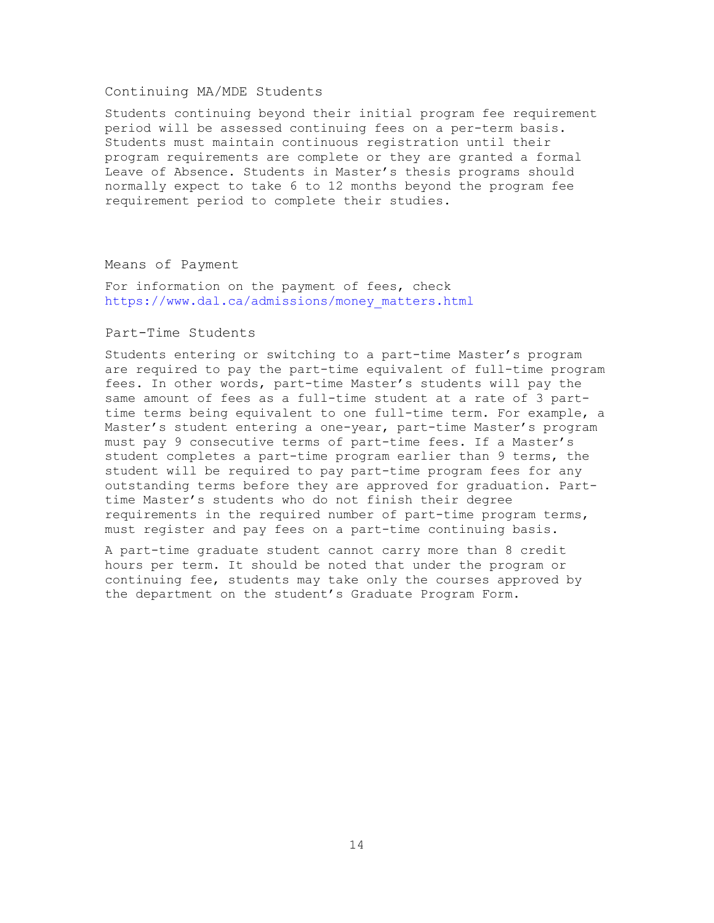#### <span id="page-14-0"></span>Continuing MA/MDE Students

Students continuing beyond their initial program fee requirement period will be assessed continuing fees on a per-term basis. Students must maintain continuous registration until their program requirements are complete or they are granted a formal Leave of Absence. Students in Master's thesis programs should normally expect to take 6 to 12 months beyond the program fee requirement period to complete their studies.

#### <span id="page-14-1"></span>Means of Payment

For information on the payment of fees, check [https://www.dal.ca/admissions/money\\_matters.html](https://www.dal.ca/admissions/money_matters.html)

#### <span id="page-14-2"></span>Part-Time Students

Students entering or switching to a part-time Master's program are required to pay the part-time equivalent of full-time program fees. In other words, part-time Master's students will pay the same amount of fees as a full-time student at a rate of 3 parttime terms being equivalent to one full-time term. For example, a Master's student entering a one-year, part-time Master's program must pay 9 consecutive terms of part-time fees. If a Master's student completes a part-time program earlier than 9 terms, the student will be required to pay part-time program fees for any outstanding terms before they are approved for graduation. Parttime Master's students who do not finish their degree requirements in the required number of part-time program terms, must register and pay fees on a part-time continuing basis.

A part-time graduate student cannot carry more than 8 credit hours per term. It should be noted that under the program or continuing fee, students may take only the courses approved by the department on the student's Graduate Program Form.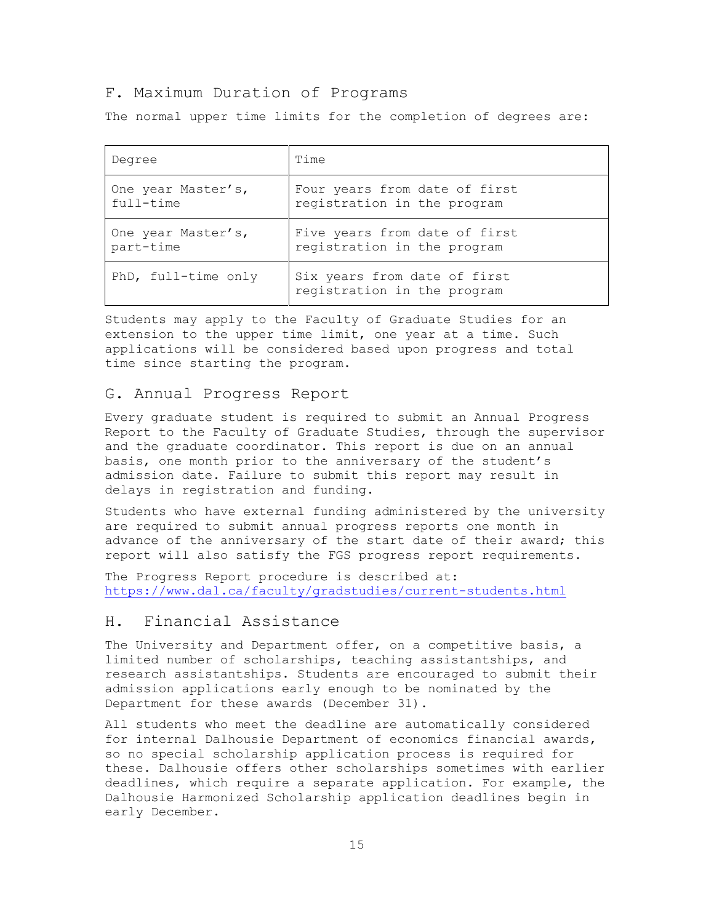#### <span id="page-15-0"></span>F. Maximum Duration of Programs

The normal upper time limits for the completion of degrees are:

| Degree              | Time                                                        |
|---------------------|-------------------------------------------------------------|
| One year Master's,  | Four years from date of first                               |
| full-time           | registration in the program                                 |
| One year Master's,  | Five years from date of first                               |
| part-time           | registration in the program                                 |
| PhD, full-time only | Six years from date of first<br>registration in the program |

Students may apply to the Faculty of Graduate Studies for an extension to the upper time limit, one year at a time. Such applications will be considered based upon progress and total time since starting the program.

#### <span id="page-15-1"></span>G. Annual Progress Report

Every graduate student is required to submit an Annual Progress Report to the Faculty of Graduate Studies, through the supervisor and the graduate coordinator. This report is due on an annual basis, one month prior to the anniversary of the student's admission date. Failure to submit this report may result in delays in registration and funding.

Students who have external funding administered by the university are required to submit annual progress reports one month in advance of the anniversary of the start date of their award; this report will also satisfy the FGS progress report requirements.

The Progress Report procedure is described at: <https://www.dal.ca/faculty/gradstudies/current-students.html>

## <span id="page-15-2"></span>H. Financial Assistance

The University and Department offer, on a competitive basis, a limited number of scholarships, teaching assistantships, and research assistantships. Students are encouraged to submit their admission applications early enough to be nominated by the Department for these awards (December 31).

All students who meet the deadline are automatically considered for internal Dalhousie Department of economics financial awards, so no special scholarship application process is required for these. Dalhousie offers other scholarships sometimes with earlier deadlines, which require a separate application. For example, the Dalhousie Harmonized Scholarship application deadlines begin in early December.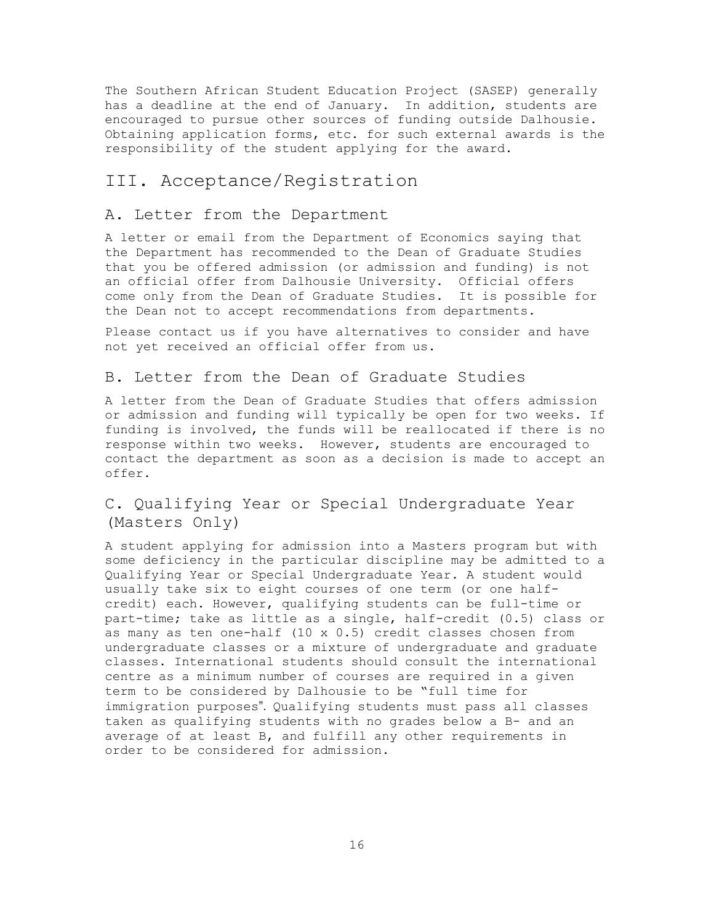The Southern African Student Education Project (SASEP) generally has a deadline at the end of January. In addition, students are encouraged to pursue other sources of funding outside Dalhousie. Obtaining application forms, etc. for such external awards is the responsibility of the student applying for the award.

## <span id="page-16-0"></span>III. Acceptance/Registration

## <span id="page-16-1"></span>A. Letter from the Department

A letter or email from the Department of Economics saying that the Department has recommended to the Dean of Graduate Studies that you be offered admission (or admission and funding) is not an official offer from Dalhousie University. Official offers come only from the Dean of Graduate Studies. It is possible for the Dean not to accept recommendations from departments.

Please contact us if you have alternatives to consider and have not yet received an official offer from us.

## <span id="page-16-2"></span>B. Letter from the Dean of Graduate Studies

A letter from the Dean of Graduate Studies that offers admission or admission and funding will typically be open for two weeks. If funding is involved, the funds will be reallocated if there is no response within two weeks. However, students are encouraged to contact the department as soon as a decision is made to accept an offer.

## <span id="page-16-3"></span>C. Qualifying Year or Special Undergraduate Year (Masters Only)

A student applying for admission into a Masters program but with some deficiency in the particular discipline may be admitted to a Qualifying Year or Special Undergraduate Year. A student would usually take six to eight courses of one term (or one halfcredit) each. However, qualifying students can be full-time or part-time; take as little as a single, half-credit (0.5) class or as many as ten one-half (10 x 0.5) credit classes chosen from undergraduate classes or a mixture of undergraduate and graduate classes. International students should consult the international centre as a minimum number of courses are required in a given term to be considered by Dalhousie to be "full time for immigration purposes". Qualifying students must pass all classes taken as qualifying students with no grades below a B- and an average of at least B, and fulfill any other requirements in order to be considered for admission.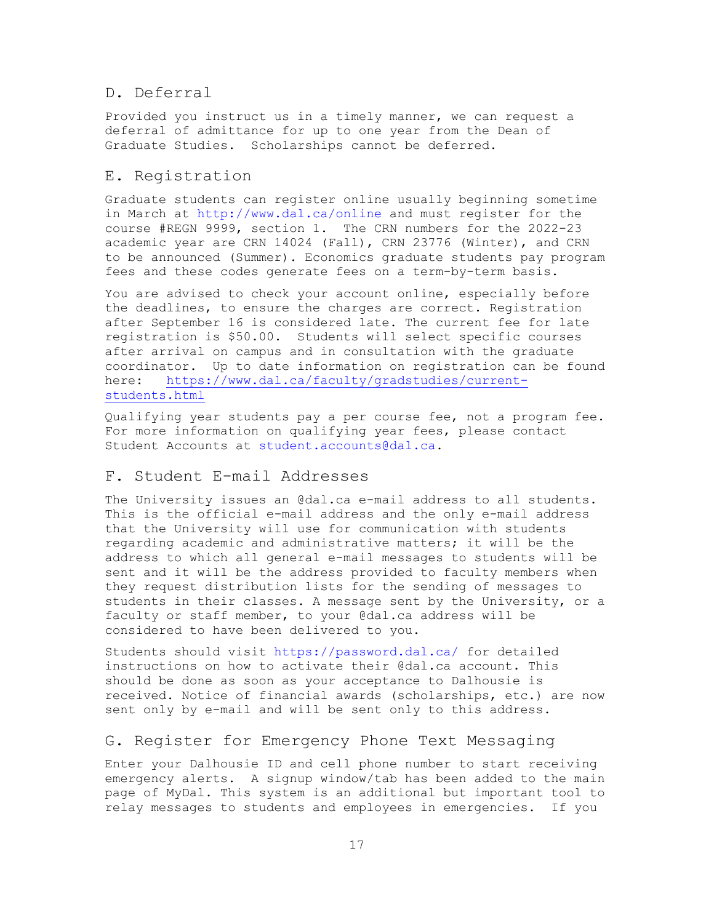## <span id="page-17-0"></span>D. Deferral

Provided you instruct us in a timely manner, we can request a deferral of admittance for up to one year from the Dean of Graduate Studies. Scholarships cannot be deferred.

### <span id="page-17-1"></span>E. Registration

Graduate students can register online usually beginning sometime in March at<http://www.dal.ca/online> and must register for the course #REGN 9999, section 1. The CRN numbers for the 2022-23 academic year are CRN 14024 (Fall), CRN 23776 (Winter), and CRN to be announced (Summer). Economics graduate students pay program fees and these codes generate fees on a term-by-term basis.

You are advised to check your account online, especially before the deadlines, to ensure the charges are correct. Registration after September 16 is considered late. The current fee for late registration is \$50.00. Students will select specific courses after arrival on campus and in consultation with the graduate coordinator. Up to date information on registration can be found here: [https://www.dal.ca/faculty/gradstudies/current](https://www.dal.ca/faculty/gradstudies/current-students.html)[students.html](https://www.dal.ca/faculty/gradstudies/current-students.html)

Qualifying year students pay a per course fee, not a program fee. For more information on qualifying year fees, please contact Student Accounts at [student.accounts@dal.ca.](mailto:student.accounts@dal.ca)

## <span id="page-17-2"></span>F. Student E-mail Addresses

The University issues an @dal.ca e-mail address to all students. This is the official e-mail address and the only e-mail address that the University will use for communication with students regarding academic and administrative matters; it will be the address to which all general e-mail messages to students will be sent and it will be the address provided to faculty members when they request distribution lists for the sending of messages to students in their classes. A message sent by the University, or a faculty or staff member, to your @dal.ca address will be considered to have been delivered to you.

Students should visit<https://password.dal.ca/> for detailed instructions on how to activate their @dal.ca account. This should be done as soon as your acceptance to Dalhousie is received. Notice of financial awards (scholarships, etc.) are now sent only by e-mail and will be sent only to this address.

### <span id="page-17-3"></span>G. Register for Emergency Phone Text Messaging

Enter your Dalhousie ID and cell phone number to start receiving emergency alerts. A signup window/tab has been added to the main page of MyDal. This system is an additional but important tool to relay messages to students and employees in emergencies. If you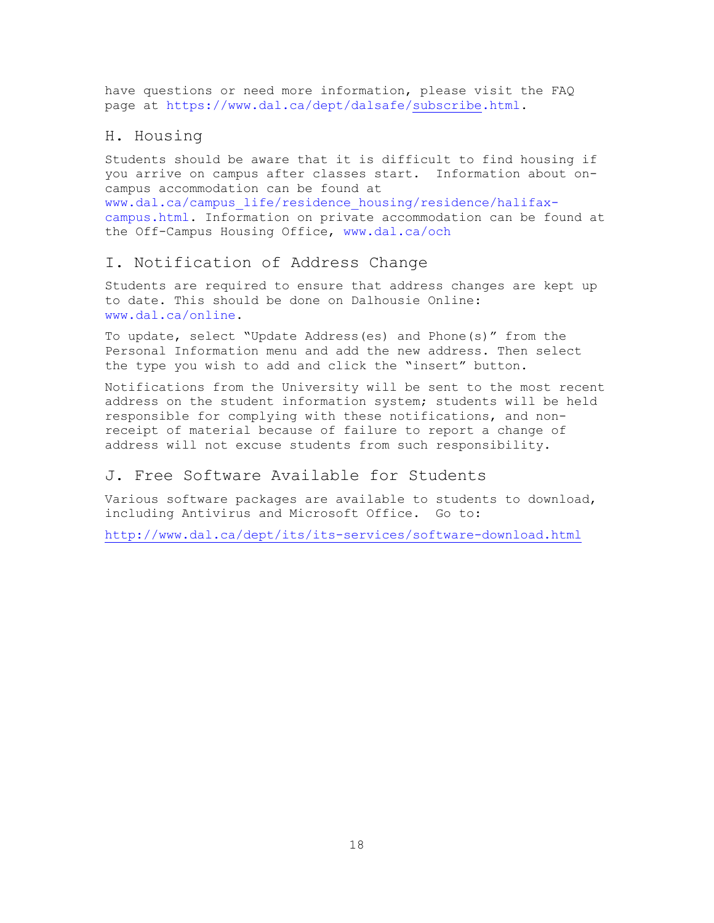have questions or need more information, please visit the FAQ page at https://www.dal.ca/dept/dalsafe[/subscribe.](https://www.dal.ca/dept/dalsafe/subscribe.html)html.

## <span id="page-18-0"></span>H. Housing

Students should be aware that it is difficult to find housing if you arrive on campus after classes start. Information about oncampus accommodation can be found at [www.dal.ca/campus\\_life/residence\\_housing/residence/halifax](http://www.dal.ca/campus_life/residence_housing/residence/halifax-campus.html)[campus.html.](http://www.dal.ca/campus_life/residence_housing/residence/halifax-campus.html) Information on private accommodation can be found at the Off-Campus Housing Office, [www.dal.ca/och](http://www.dal.ca/och)

## <span id="page-18-1"></span>I. Notification of Address Change

Students are required to ensure that address changes are kept up to date. This should be done on Dalhousie Online: [www.dal.ca/online.](http://www.dal.ca/online)

To update, select "Update Address(es) and Phone(s)" from the Personal Information menu and add the new address. Then select the type you wish to add and click the "insert" button.

Notifications from the University will be sent to the most recent address on the student information system; students will be held responsible for complying with these notifications, and nonreceipt of material because of failure to report a change of address will not excuse students from such responsibility.

## <span id="page-18-2"></span>J. Free Software Available for Students

Various software packages are available to students to download, including Antivirus and Microsoft Office. Go to:

<http://www.dal.ca/dept/its/its-services/software-download.html>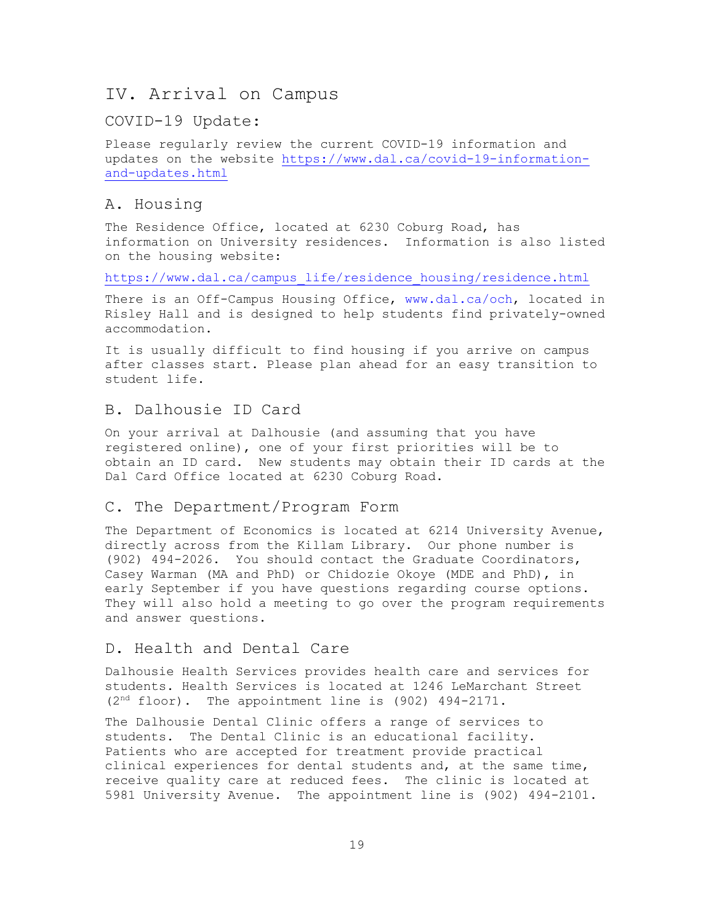## <span id="page-19-0"></span>IV. Arrival on Campus

### COVID-19 Update:

Please regularly review the current COVID-19 information and updates on the website [https://www.dal.ca/covid-19-information](https://www.dal.ca/covid-19-information-and-updates.html)[and-updates.html](https://www.dal.ca/covid-19-information-and-updates.html)

## <span id="page-19-1"></span>A. Housing

The Residence Office, located at 6230 Coburg Road, has information on University residences. Information is also listed on the housing website:

[https://www.dal.ca/campus\\_life/residence\\_housing/residence.html](https://www.dal.ca/campus_life/residence_housing/residence.html)

There is an Off-Campus Housing Office, [www.dal.ca/och,](http://www.dal.ca/och) located in Risley Hall and is designed to help students find privately-owned accommodation.

It is usually difficult to find housing if you arrive on campus after classes start. Please plan ahead for an easy transition to student life.

## <span id="page-19-2"></span>B. Dalhousie ID Card

On your arrival at Dalhousie (and assuming that you have registered online), one of your first priorities will be to obtain an ID card. New students may obtain their ID cards at the Dal Card Office located at 6230 Coburg Road.

#### <span id="page-19-3"></span>C. The Department/Program Form

The Department of Economics is located at 6214 University Avenue, directly across from the Killam Library. Our phone number is (902) 494-2026. You should contact the Graduate Coordinators, Casey Warman (MA and PhD) or Chidozie Okoye (MDE and PhD), in early September if you have questions regarding course options. They will also hold a meeting to go over the program requirements and answer questions.

## <span id="page-19-4"></span>D. Health and Dental Care

Dalhousie Health Services provides health care and services for students. Health Services is located at 1246 LeMarchant Street (2 nd floor). The appointment line is (902) 494-2171.

The Dalhousie Dental Clinic offers a range of services to students. The Dental Clinic is an educational facility. Patients who are accepted for treatment provide practical clinical experiences for dental students and, at the same time, receive quality care at reduced fees. The clinic is located at 5981 University Avenue. The appointment line is (902) 494-2101.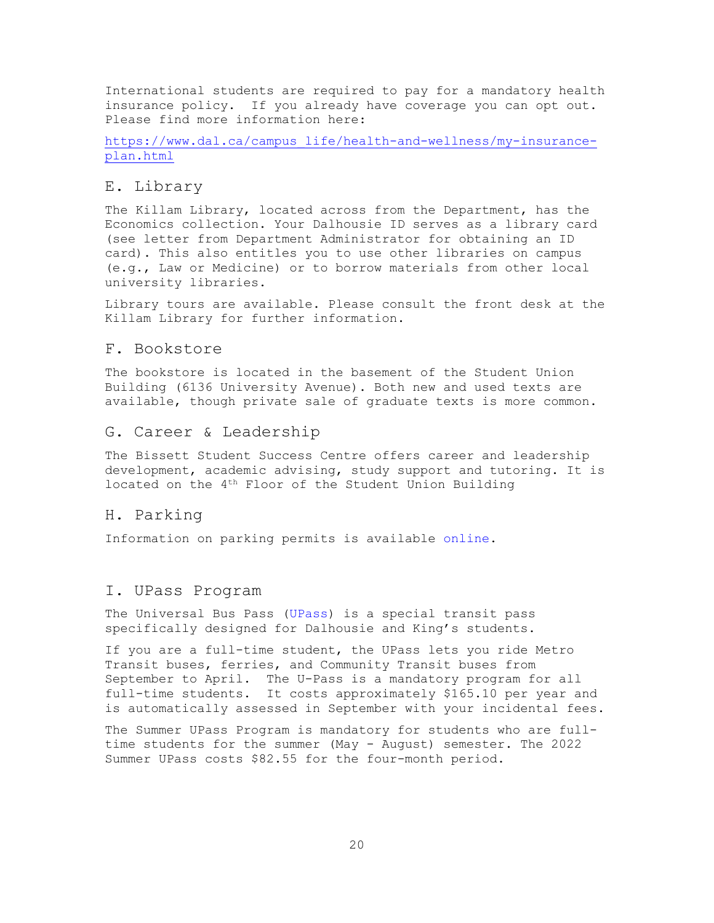International students are required to pay for a mandatory health insurance policy. If you already have coverage you can opt out. Please find more information here:

[https://www.dal.ca/campus\\_life/health-and-wellness/my-insurance](https://www.dal.ca/campus_life/health-and-wellness/my-insurance-plan.html)[plan.html](https://www.dal.ca/campus_life/health-and-wellness/my-insurance-plan.html)

## <span id="page-20-0"></span>E. Library

The Killam Library, located across from the Department, has the Economics collection. Your Dalhousie ID serves as a library card (see letter from Department Administrator for obtaining an ID card). This also entitles you to use other libraries on campus (e.g., Law or Medicine) or to borrow materials from other local university libraries.

Library tours are available. Please consult the front desk at the Killam Library for further information.

#### <span id="page-20-1"></span>F. Bookstore

The bookstore is located in the basement of the Student Union Building (6136 University Avenue). Both new and used texts are available, though private sale of graduate texts is more common.

## <span id="page-20-2"></span>G. Career & Leadership

The Bissett Student Success Centre offers career and leadership development, academic advising, study support and tutoring. It is located on the 4th Floor of the Student Union Building

#### <span id="page-20-3"></span>H. Parking

Information on parking permits is available [online.](http://www.dal.ca/dept/facilities/parking-at-dal/permits---parking/order-your-permit.html)

#### <span id="page-20-4"></span>I. UPass Program

The Universal Bus Pass [\(UPass\)](http://www.dal.ca/campus_life/UPass.html) is a special transit pass specifically designed for Dalhousie and King's students.

If you are a full-time student, the UPass lets you ride Metro Transit buses, ferries, and Community Transit buses from September to April. The U-Pass is a mandatory program for all full-time students. It costs approximately \$165.10 per year and is automatically assessed in September with your incidental fees.

The Summer UPass Program is mandatory for students who are fulltime students for the summer (May - August) semester. The 2022 Summer UPass costs \$82.55 for the four-month period.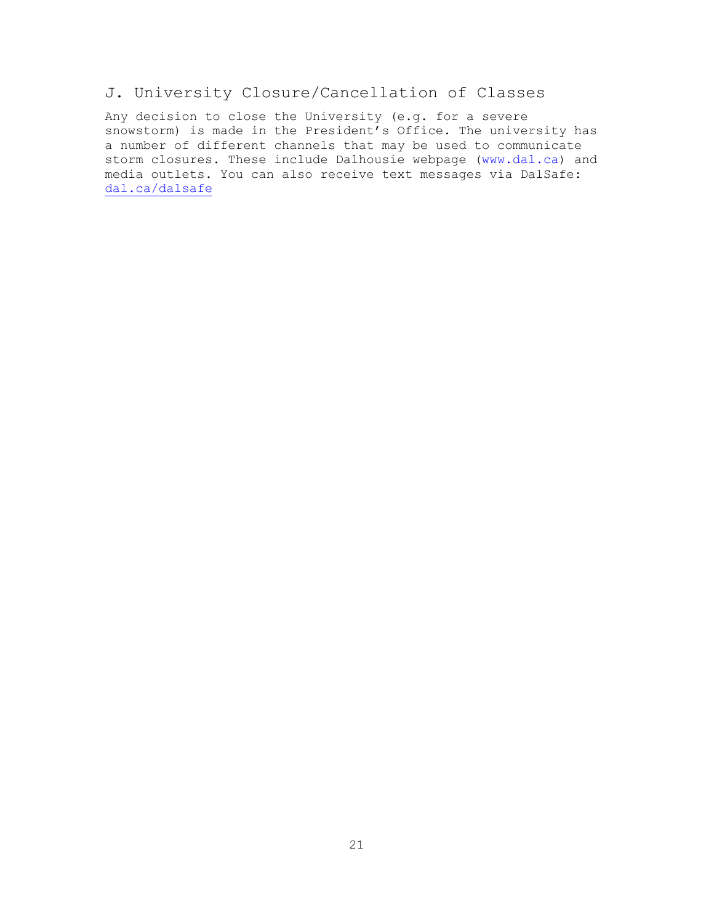## <span id="page-21-0"></span>J. University Closure/Cancellation of Classes

Any decision to close the University (e.g. for a severe snowstorm) is made in the President's Office. The university has a number of different channels that may be used to communicate storm closures. These include Dalhousie webpage [\(www.dal.ca\)](http://www.dal.ca/) and media outlets. You can also receive text messages via DalSafe: [dal.ca/dalsafe](https://www.dal.ca/dept/dalsafe.html)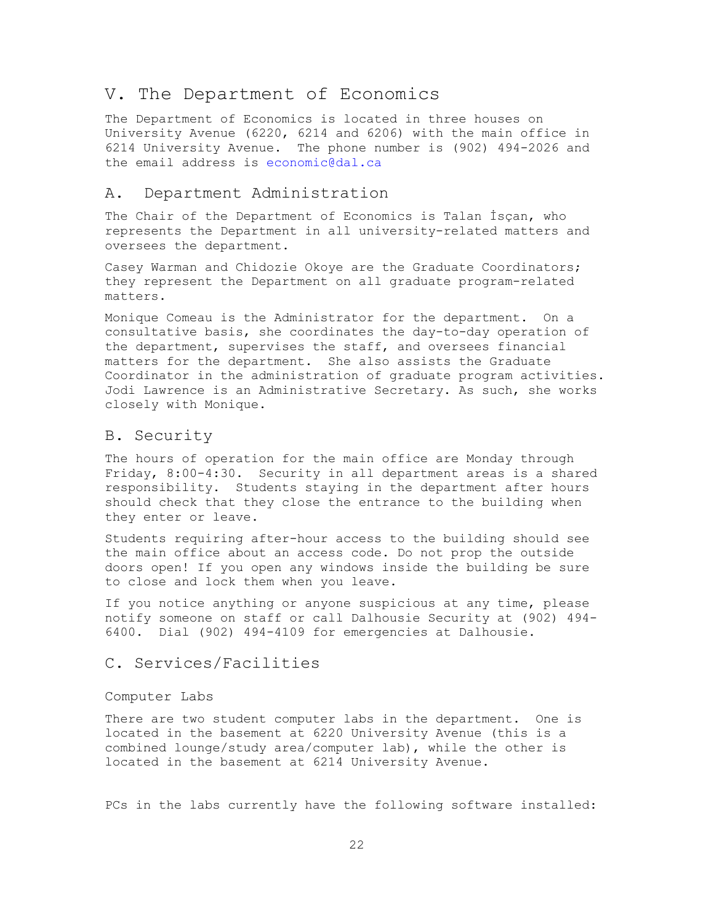## V. The Department of Economics

The Department of Economics is located in three houses on University Avenue (6220, 6214 and 6206) with the main office in 6214 University Avenue. The phone number is (902) 494-2026 and the email address is [economic@dal.ca](mailto:economics@dal.ca)

#### <span id="page-22-0"></span>A. Department Administration

The Chair of the Department of Economics is Talan İsçan, who represents the Department in all university-related matters and oversees the department.

Casey Warman and Chidozie Okoye are the Graduate Coordinators; they represent the Department on all graduate program-related matters.

Monique Comeau is the Administrator for the department. On a consultative basis, she coordinates the day-to-day operation of the department, supervises the staff, and oversees financial matters for the department. She also assists the Graduate Coordinator in the administration of graduate program activities. Jodi Lawrence is an Administrative Secretary. As such, she works closely with Monique.

## <span id="page-22-1"></span>B. Security

The hours of operation for the main office are Monday through Friday, 8:00-4:30. Security in all department areas is a shared responsibility. Students staying in the department after hours should check that they close the entrance to the building when they enter or leave.

Students requiring after-hour access to the building should see the main office about an access code. Do not prop the outside doors open! If you open any windows inside the building be sure to close and lock them when you leave.

If you notice anything or anyone suspicious at any time, please notify someone on staff or call Dalhousie Security at (902) 494- 6400. Dial (902) 494-4109 for emergencies at Dalhousie.

## <span id="page-22-2"></span>C. Services/Facilities

#### <span id="page-22-3"></span>Computer Labs

There are two student computer labs in the department. One is located in the basement at 6220 University Avenue (this is a combined lounge/study area/computer lab), while the other is located in the basement at 6214 University Avenue.

PCs in the labs currently have the following software installed: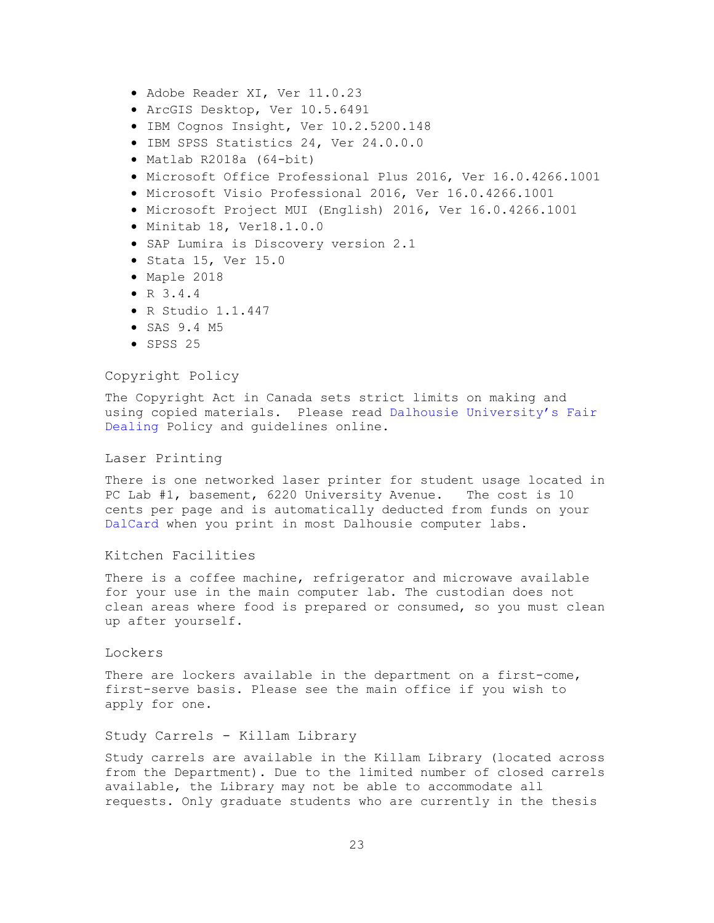- Adobe Reader XI, Ver 11.0.23
- ArcGIS Desktop, Ver 10.5.6491
- IBM Cognos Insight, Ver 10.2.5200.148
- IBM SPSS Statistics 24, Ver 24.0.0.0
- Matlab R2018a (64-bit)
- Microsoft Office Professional Plus 2016, Ver 16.0.4266.1001
- Microsoft Visio Professional 2016, Ver 16.0.4266.1001
- Microsoft Project MUI (English) 2016, Ver 16.0.4266.1001
- Minitab 18, Ver18.1.0.0
- SAP Lumira is Discovery version 2.1
- Stata 15, Ver 15.0
- Maple 2018
- R 3.4.4
- R Studio 1.1.447
- SAS 9.4 M5
- SPSS 25

#### <span id="page-23-0"></span>Copyright Policy

The Copyright Act in Canada sets strict limits on making and using copied materials. Please read [Dalhousie University's Fair](https://libraries.dal.ca/services/copyright-office/fair-dealing/fair-dealing-guidelines.html)  [Dealing](https://libraries.dal.ca/services/copyright-office/fair-dealing/fair-dealing-guidelines.html) Policy and guidelines online.

#### <span id="page-23-1"></span>Laser Printing

There is one networked laser printer for student usage located in PC Lab #1, basement, 6220 University Avenue. The cost is 10 cents per page and is automatically deducted from funds on your [DalCard](http://www.dal.ca/campus_life/Dalcard.html) when you print in most Dalhousie computer labs.

#### <span id="page-23-2"></span>Kitchen Facilities

There is a coffee machine, refrigerator and microwave available for your use in the main computer lab. The custodian does not clean areas where food is prepared or consumed, so you must clean up after yourself.

#### <span id="page-23-3"></span>Lockers

There are lockers available in the department on a first-come, first-serve basis. Please see the main office if you wish to apply for one.

#### <span id="page-23-4"></span>Study Carrels - Killam Library

Study carrels are available in the Killam Library (located across from the Department). Due to the limited number of closed carrels available, the Library may not be able to accommodate all requests. Only graduate students who are currently in the thesis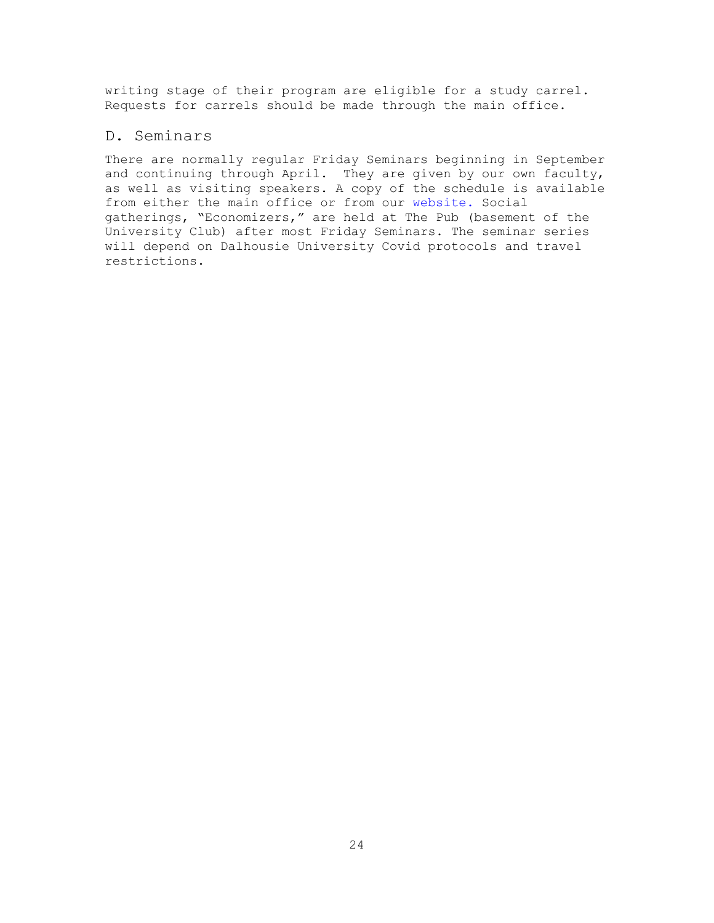writing stage of their program are eligible for a study carrel. Requests for carrels should be made through the main office.

## <span id="page-24-0"></span>D. Seminars

There are normally regular Friday Seminars beginning in September and continuing through April. They are given by our own faculty, as well as visiting speakers. A copy of the schedule is available from either the main office or from our [website.](http://www.dal.ca/faculty/science/economics/news-events/seminars.html) Social gatherings, "Economizers," are held at The Pub (basement of the University Club) after most Friday Seminars. The seminar series will depend on Dalhousie University Covid protocols and travel restrictions.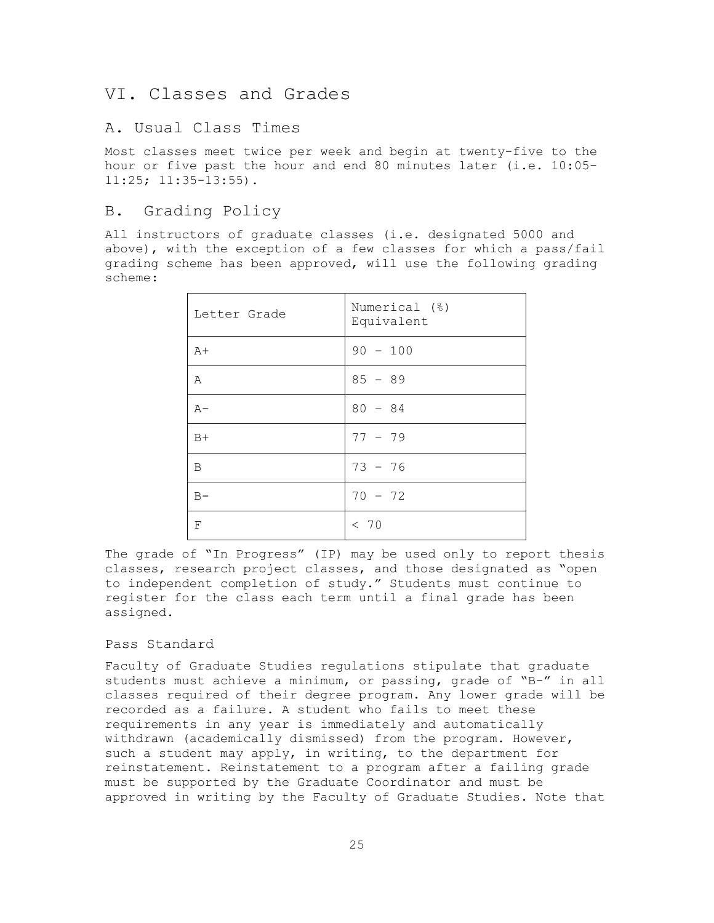## <span id="page-25-0"></span>VI. Classes and Grades

## <span id="page-25-1"></span>A. Usual Class Times

Most classes meet twice per week and begin at twenty-five to the hour or five past the hour and end 80 minutes later (i.e. 10:05- 11:25; 11:35-13:55).

## <span id="page-25-2"></span>B. Grading Policy

All instructors of graduate classes (i.e. designated 5000 and above), with the exception of a few classes for which a pass/fail grading scheme has been approved, will use the following grading scheme:

| Letter Grade | Numerical (%)<br>Equivalent |
|--------------|-----------------------------|
| $A+$         | $90 - 100$                  |
| Α            | $85 - 89$                   |
| $A -$        | $80 - 84$                   |
| $B+$         | $77 - 79$                   |
| B            | $73 - 76$                   |
| $B -$        | $70 - 72$                   |
| $\mathbf F$  | < 70                        |

The grade of "In Progress" (IP) may be used only to report thesis classes, research project classes, and those designated as "open to independent completion of study." Students must continue to register for the class each term until a final grade has been assigned.

#### <span id="page-25-3"></span>Pass Standard

Faculty of Graduate Studies regulations stipulate that graduate students must achieve a minimum, or passing, grade of "B-" in all classes required of their degree program. Any lower grade will be recorded as a failure. A student who fails to meet these requirements in any year is immediately and automatically withdrawn (academically dismissed) from the program. However, such a student may apply, in writing, to the department for reinstatement. Reinstatement to a program after a failing grade must be supported by the Graduate Coordinator and must be approved in writing by the Faculty of Graduate Studies. Note that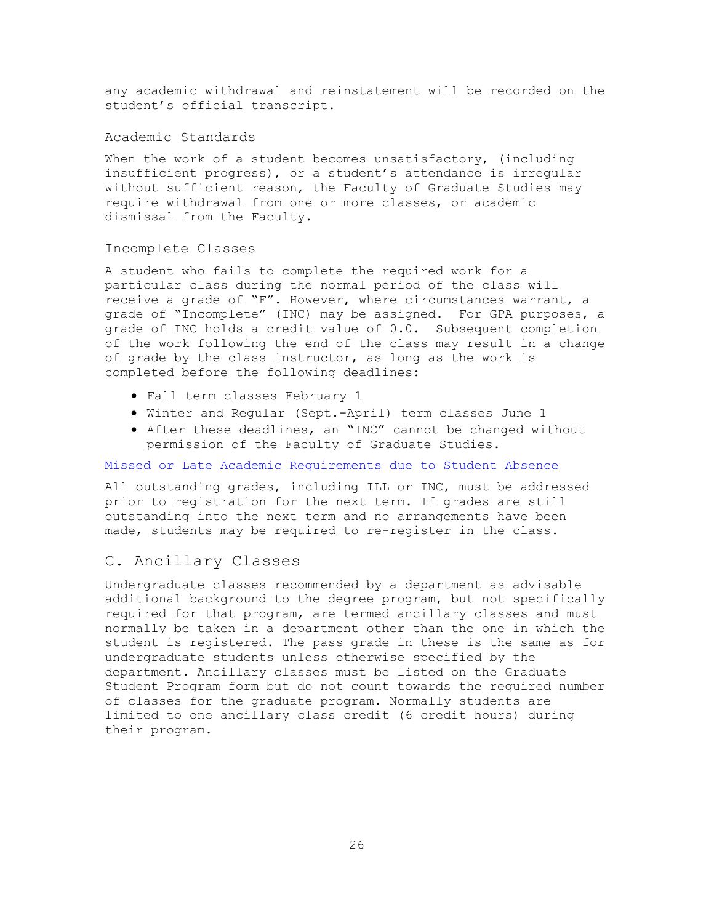any academic withdrawal and reinstatement will be recorded on the student's official transcript.

#### <span id="page-26-0"></span>Academic Standards

When the work of a student becomes unsatisfactory, (including insufficient progress), or a student's attendance is irregular without sufficient reason, the Faculty of Graduate Studies may require withdrawal from one or more classes, or academic dismissal from the Faculty.

#### <span id="page-26-1"></span>Incomplete Classes

A student who fails to complete the required work for a particular class during the normal period of the class will receive a grade of "F". However, where circumstances warrant, a grade of "Incomplete" (INC) may be assigned. For GPA purposes, a grade of INC holds a credit value of 0.0. Subsequent completion of the work following the end of the class may result in a change of grade by the class instructor, as long as the work is completed before the following deadlines:

- Fall term classes February 1
- Winter and Regular (Sept.-April) term classes June 1
- After these deadlines, an "INC" cannot be changed without permission of the Faculty of Graduate Studies.

#### [Missed or Late Academic Requirements due to Student Absence](https://www.dal.ca/dept/university_secretariat/policies/academic/missed-or-late-academic-requirements-due-to-student-absence.html)

All outstanding grades, including ILL or INC, must be addressed prior to registration for the next term. If grades are still outstanding into the next term and no arrangements have been made, students may be required to re-register in the class.

## <span id="page-26-2"></span>C. Ancillary Classes

Undergraduate classes recommended by a department as advisable additional background to the degree program, but not specifically required for that program, are termed ancillary classes and must normally be taken in a department other than the one in which the student is registered. The pass grade in these is the same as for undergraduate students unless otherwise specified by the department. Ancillary classes must be listed on the Graduate Student Program form but do not count towards the required number of classes for the graduate program. Normally students are limited to one ancillary class credit (6 credit hours) during their program.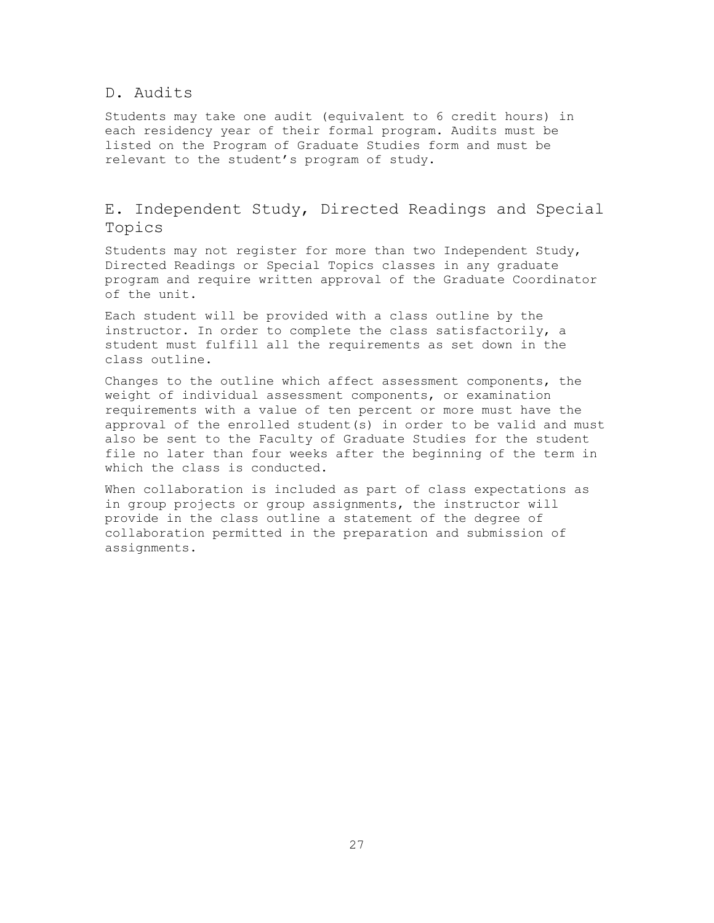## <span id="page-27-0"></span>D. Audits

Students may take one audit (equivalent to 6 credit hours) in each residency year of their formal program. Audits must be listed on the Program of Graduate Studies form and must be relevant to the student's program of study.

## <span id="page-27-1"></span>E. Independent Study, Directed Readings and Special Topics

Students may not register for more than two Independent Study, Directed Readings or Special Topics classes in any graduate program and require written approval of the Graduate Coordinator of the unit.

Each student will be provided with a class outline by the instructor. In order to complete the class satisfactorily, a student must fulfill all the requirements as set down in the class outline.

Changes to the outline which affect assessment components, the weight of individual assessment components, or examination requirements with a value of ten percent or more must have the approval of the enrolled student(s) in order to be valid and must also be sent to the Faculty of Graduate Studies for the student file no later than four weeks after the beginning of the term in which the class is conducted.

When collaboration is included as part of class expectations as in group projects or group assignments, the instructor will provide in the class outline a statement of the degree of collaboration permitted in the preparation and submission of assignments.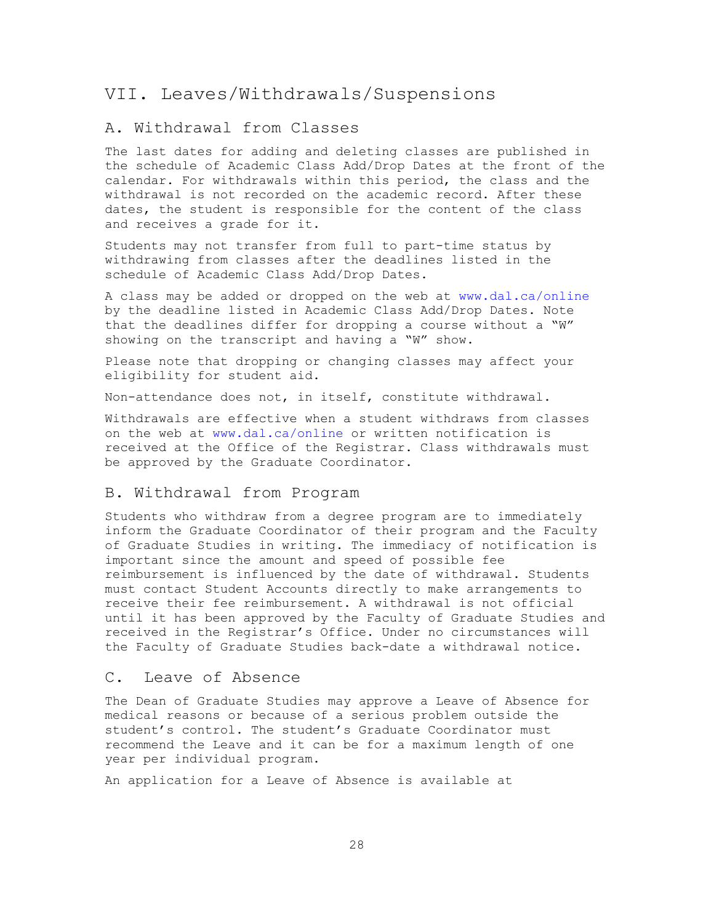## <span id="page-28-0"></span>VII. Leaves/Withdrawals/Suspensions

## <span id="page-28-1"></span>A. Withdrawal from Classes

The last dates for adding and deleting classes are published in the schedule of Academic Class Add/Drop Dates at the front of the calendar. For withdrawals within this period, the class and the withdrawal is not recorded on the academic record. After these dates, the student is responsible for the content of the class and receives a grade for it.

Students may not transfer from full to part-time status by withdrawing from classes after the deadlines listed in the schedule of Academic Class Add/Drop Dates.

A class may be added or dropped on the web at [www.dal.ca/online](http://www.dal.ca/online) by the deadline listed in Academic Class Add/Drop Dates. Note that the deadlines differ for dropping a course without a "W" showing on the transcript and having a "W" show.

Please note that dropping or changing classes may affect your eligibility for student aid.

Non-attendance does not, in itself, constitute withdrawal.

Withdrawals are effective when a student withdraws from classes on the web at [www.dal.ca/online](http://www.dal.ca/online) or written notification is received at the Office of the Registrar. Class withdrawals must be approved by the Graduate Coordinator.

## <span id="page-28-2"></span>B. Withdrawal from Program

Students who withdraw from a degree program are to immediately inform the Graduate Coordinator of their program and the Faculty of Graduate Studies in writing. The immediacy of notification is important since the amount and speed of possible fee reimbursement is influenced by the date of withdrawal. Students must contact Student Accounts directly to make arrangements to receive their fee reimbursement. A withdrawal is not official until it has been approved by the Faculty of Graduate Studies and received in the Registrar's Office. Under no circumstances will the Faculty of Graduate Studies back-date a withdrawal notice.

#### <span id="page-28-3"></span>C. Leave of Absence

The Dean of Graduate Studies may approve a Leave of Absence for medical reasons or because of a serious problem outside the student's control. The student's Graduate Coordinator must recommend the Leave and it can be for a maximum length of one year per individual program.

An application for a Leave of Absence is available at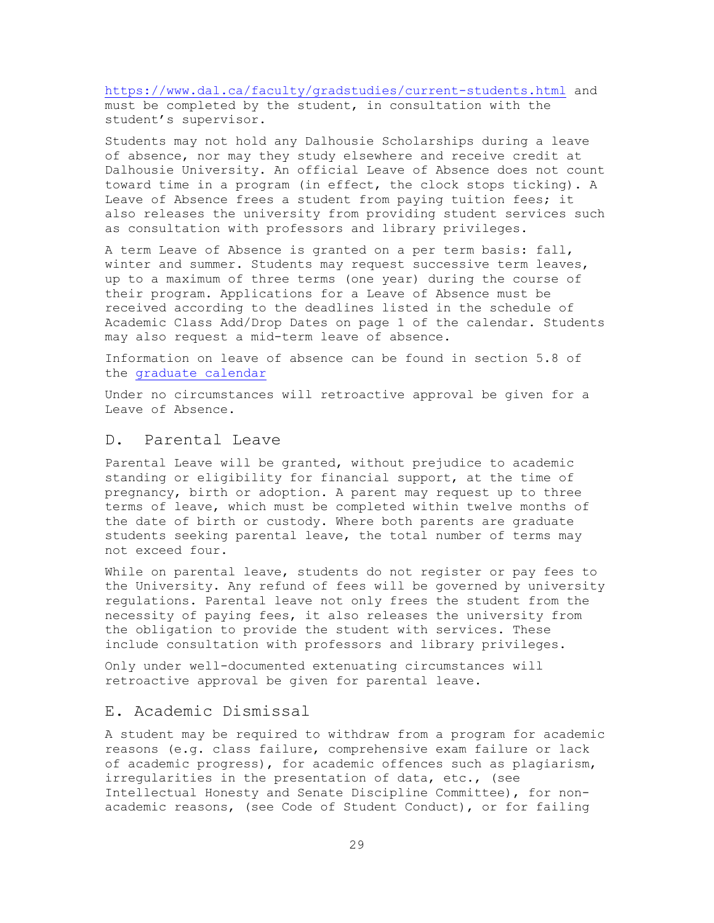<https://www.dal.ca/faculty/gradstudies/current-students.html> and must be completed by the student, in consultation with the student's supervisor.

Students may not hold any Dalhousie Scholarships during a leave of absence, nor may they study elsewhere and receive credit at Dalhousie University. An official Leave of Absence does not count toward time in a program (in effect, the clock stops ticking). A Leave of Absence frees a student from paying tuition fees; it also releases the university from providing student services such as consultation with professors and library privileges.

A term Leave of Absence is granted on a per term basis: fall, winter and summer. Students may request successive term leaves, up to a maximum of three terms (one year) during the course of their program. Applications for a Leave of Absence must be received according to the deadlines listed in the schedule of Academic Class Add/Drop Dates on page 1 of the calendar. Students may also request a mid-term leave of absence.

Information on leave of absence can be found in section 5.8 of the [graduate calendar](https://academiccalendar.dal.ca/Catalog/ViewCatalog.aspx?pageid=viewcatalog&catalogid=106&chapterid=6499&topicgroupid=28464&loaduseredits=False)

Under no circumstances will retroactive approval be given for a Leave of Absence.

#### <span id="page-29-0"></span>D. Parental Leave

Parental Leave will be granted, without prejudice to academic standing or eligibility for financial support, at the time of pregnancy, birth or adoption. A parent may request up to three terms of leave, which must be completed within twelve months of the date of birth or custody. Where both parents are graduate students seeking parental leave, the total number of terms may not exceed four.

While on parental leave, students do not register or pay fees to the University. Any refund of fees will be governed by university regulations. Parental leave not only frees the student from the necessity of paying fees, it also releases the university from the obligation to provide the student with services. These include consultation with professors and library privileges.

Only under well-documented extenuating circumstances will retroactive approval be given for parental leave.

#### <span id="page-29-1"></span>E. Academic Dismissal

A student may be required to withdraw from a program for academic reasons (e.g. class failure, comprehensive exam failure or lack of academic progress), for academic offences such as plagiarism, irregularities in the presentation of data, etc., (see Intellectual Honesty and Senate Discipline Committee), for nonacademic reasons, (see Code of Student Conduct), or for failing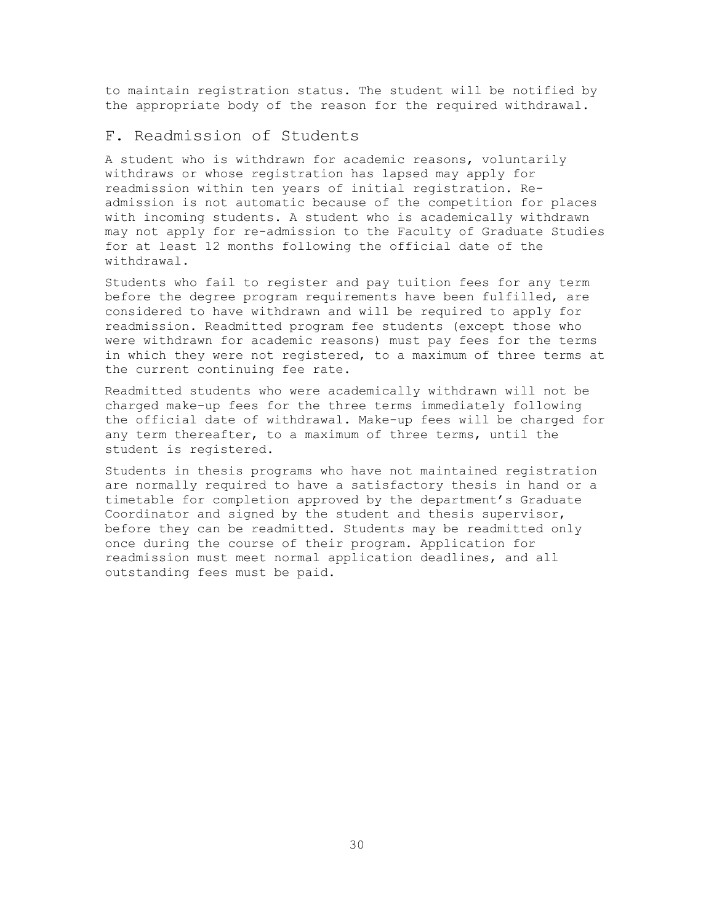to maintain registration status. The student will be notified by the appropriate body of the reason for the required withdrawal.

## <span id="page-30-0"></span>F. Readmission of Students

A student who is withdrawn for academic reasons, voluntarily withdraws or whose registration has lapsed may apply for readmission within ten years of initial registration. Readmission is not automatic because of the competition for places with incoming students. A student who is academically withdrawn may not apply for re-admission to the Faculty of Graduate Studies for at least 12 months following the official date of the withdrawal.

Students who fail to register and pay tuition fees for any term before the degree program requirements have been fulfilled, are considered to have withdrawn and will be required to apply for readmission. Readmitted program fee students (except those who were withdrawn for academic reasons) must pay fees for the terms in which they were not registered, to a maximum of three terms at the current continuing fee rate.

Readmitted students who were academically withdrawn will not be charged make-up fees for the three terms immediately following the official date of withdrawal. Make-up fees will be charged for any term thereafter, to a maximum of three terms, until the student is registered.

Students in thesis programs who have not maintained registration are normally required to have a satisfactory thesis in hand or a timetable for completion approved by the department's Graduate Coordinator and signed by the student and thesis supervisor, before they can be readmitted. Students may be readmitted only once during the course of their program. Application for readmission must meet normal application deadlines, and all outstanding fees must be paid.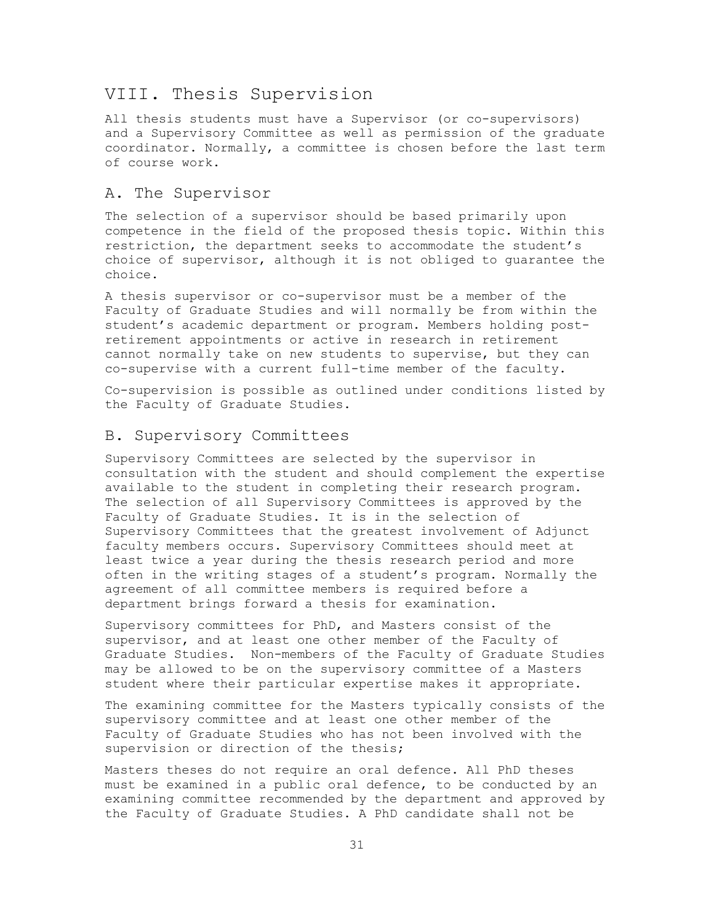## <span id="page-31-0"></span>VIII. Thesis Supervision

All thesis students must have a Supervisor (or co-supervisors) and a Supervisory Committee as well as permission of the graduate coordinator. Normally, a committee is chosen before the last term of course work.

#### <span id="page-31-1"></span>A. The Supervisor

The selection of a supervisor should be based primarily upon competence in the field of the proposed thesis topic. Within this restriction, the department seeks to accommodate the student's choice of supervisor, although it is not obliged to guarantee the choice.

A thesis supervisor or co-supervisor must be a member of the Faculty of Graduate Studies and will normally be from within the student's academic department or program. Members holding postretirement appointments or active in research in retirement cannot normally take on new students to supervise, but they can co-supervise with a current full-time member of the faculty.

Co-supervision is possible as outlined under conditions listed by the Faculty of Graduate Studies.

### <span id="page-31-2"></span>B. Supervisory Committees

Supervisory Committees are selected by the supervisor in consultation with the student and should complement the expertise available to the student in completing their research program. The selection of all Supervisory Committees is approved by the Faculty of Graduate Studies. It is in the selection of Supervisory Committees that the greatest involvement of Adjunct faculty members occurs. Supervisory Committees should meet at least twice a year during the thesis research period and more often in the writing stages of a student's program. Normally the agreement of all committee members is required before a department brings forward a thesis for examination.

Supervisory committees for PhD, and Masters consist of the supervisor, and at least one other member of the Faculty of Graduate Studies. Non-members of the Faculty of Graduate Studies may be allowed to be on the supervisory committee of a Masters student where their particular expertise makes it appropriate.

The examining committee for the Masters typically consists of the supervisory committee and at least one other member of the Faculty of Graduate Studies who has not been involved with the supervision or direction of the thesis;

Masters theses do not require an oral defence. All PhD theses must be examined in a public oral defence, to be conducted by an examining committee recommended by the department and approved by the Faculty of Graduate Studies. A PhD candidate shall not be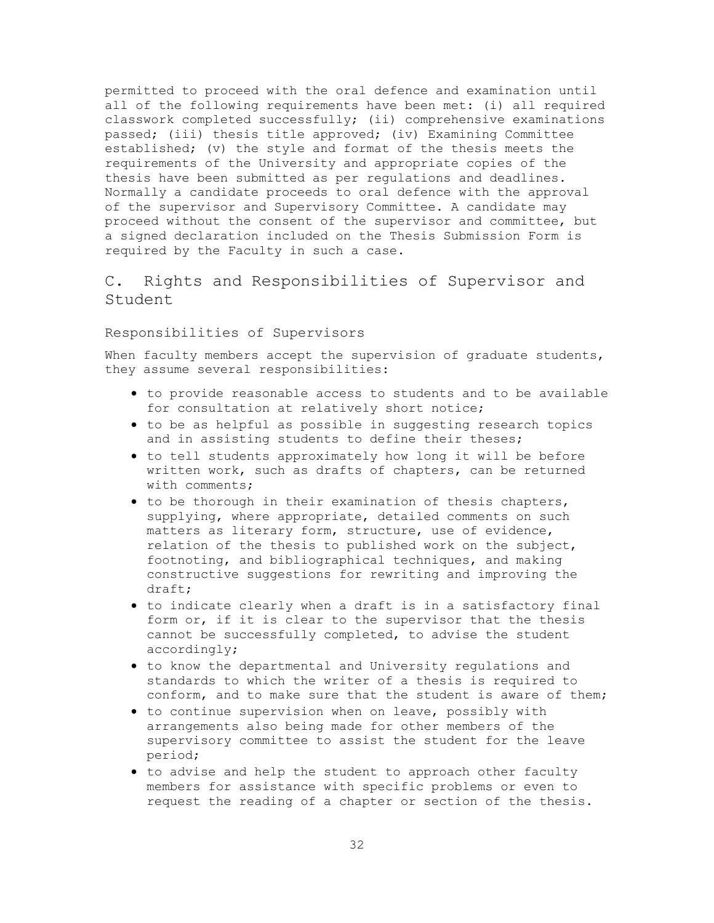permitted to proceed with the oral defence and examination until all of the following requirements have been met: (i) all required classwork completed successfully; (ii) comprehensive examinations passed; (iii) thesis title approved; (iv) Examining Committee established; (v) the style and format of the thesis meets the requirements of the University and appropriate copies of the thesis have been submitted as per regulations and deadlines. Normally a candidate proceeds to oral defence with the approval of the supervisor and Supervisory Committee. A candidate may proceed without the consent of the supervisor and committee, but a signed declaration included on the Thesis Submission Form is required by the Faculty in such a case.

## <span id="page-32-0"></span>C. Rights and Responsibilities of Supervisor and Student

#### <span id="page-32-1"></span>Responsibilities of Supervisors

When faculty members accept the supervision of graduate students, they assume several responsibilities:

- to provide reasonable access to students and to be available for consultation at relatively short notice;
- to be as helpful as possible in suggesting research topics and in assisting students to define their theses;
- to tell students approximately how long it will be before written work, such as drafts of chapters, can be returned with comments;
- to be thorough in their examination of thesis chapters, supplying, where appropriate, detailed comments on such matters as literary form, structure, use of evidence, relation of the thesis to published work on the subject, footnoting, and bibliographical techniques, and making constructive suggestions for rewriting and improving the draft;
- to indicate clearly when a draft is in a satisfactory final form or, if it is clear to the supervisor that the thesis cannot be successfully completed, to advise the student accordingly;
- to know the departmental and University regulations and standards to which the writer of a thesis is required to conform, and to make sure that the student is aware of them;
- to continue supervision when on leave, possibly with arrangements also being made for other members of the supervisory committee to assist the student for the leave period;
- to advise and help the student to approach other faculty members for assistance with specific problems or even to request the reading of a chapter or section of the thesis.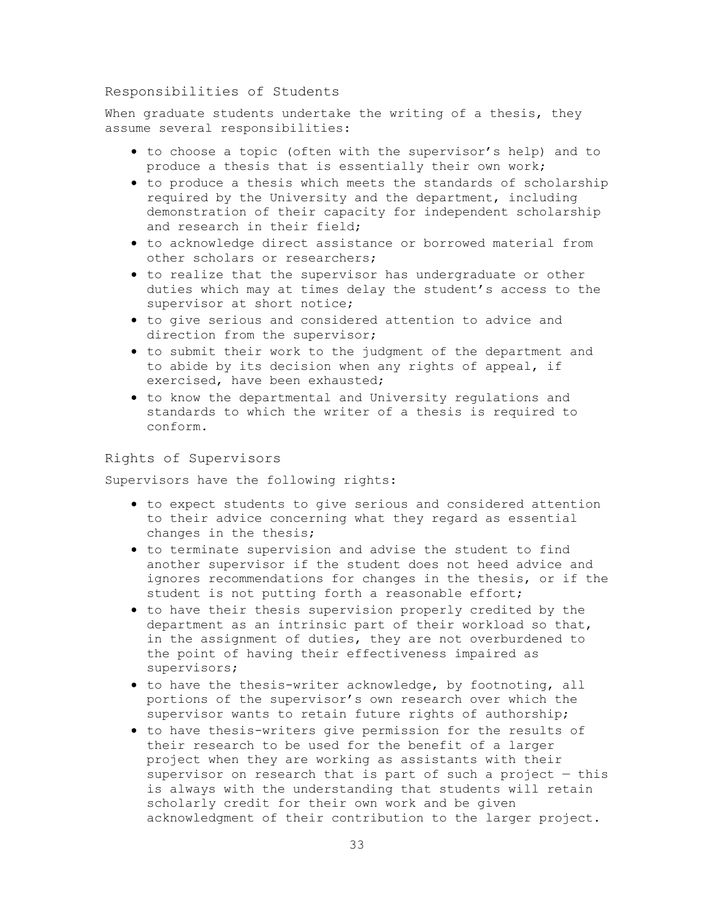#### <span id="page-33-0"></span>Responsibilities of Students

When graduate students undertake the writing of a thesis, they assume several responsibilities:

- to choose a topic (often with the supervisor's help) and to produce a thesis that is essentially their own work;
- to produce a thesis which meets the standards of scholarship required by the University and the department, including demonstration of their capacity for independent scholarship and research in their field;
- to acknowledge direct assistance or borrowed material from other scholars or researchers;
- to realize that the supervisor has undergraduate or other duties which may at times delay the student's access to the supervisor at short notice;
- to give serious and considered attention to advice and direction from the supervisor;
- to submit their work to the judgment of the department and to abide by its decision when any rights of appeal, if exercised, have been exhausted;
- to know the departmental and University regulations and standards to which the writer of a thesis is required to conform.

## <span id="page-33-1"></span>Rights of Supervisors

Supervisors have the following rights:

- to expect students to give serious and considered attention to their advice concerning what they regard as essential changes in the thesis;
- to terminate supervision and advise the student to find another supervisor if the student does not heed advice and ignores recommendations for changes in the thesis, or if the student is not putting forth a reasonable effort;
- to have their thesis supervision properly credited by the department as an intrinsic part of their workload so that, in the assignment of duties, they are not overburdened to the point of having their effectiveness impaired as supervisors;
- to have the thesis-writer acknowledge, by footnoting, all portions of the supervisor's own research over which the supervisor wants to retain future rights of authorship;
- to have thesis-writers give permission for the results of their research to be used for the benefit of a larger project when they are working as assistants with their supervisor on research that is part of such a project — this is always with the understanding that students will retain scholarly credit for their own work and be given acknowledgment of their contribution to the larger project.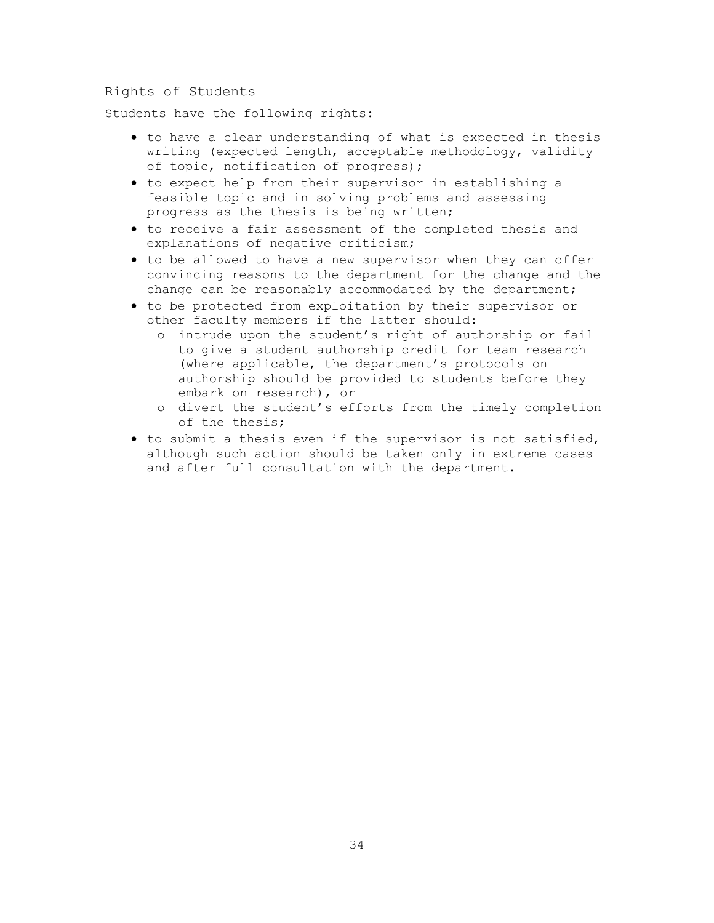#### <span id="page-34-0"></span>Rights of Students

Students have the following rights:

- to have a clear understanding of what is expected in thesis writing (expected length, acceptable methodology, validity of topic, notification of progress);
- to expect help from their supervisor in establishing a feasible topic and in solving problems and assessing progress as the thesis is being written;
- to receive a fair assessment of the completed thesis and explanations of negative criticism;
- to be allowed to have a new supervisor when they can offer convincing reasons to the department for the change and the change can be reasonably accommodated by the department;
- to be protected from exploitation by their supervisor or other faculty members if the latter should:
	- o intrude upon the student's right of authorship or fail to give a student authorship credit for team research (where applicable, the department's protocols on authorship should be provided to students before they embark on research), or
	- o divert the student's efforts from the timely completion of the thesis;
- to submit a thesis even if the supervisor is not satisfied, although such action should be taken only in extreme cases and after full consultation with the department.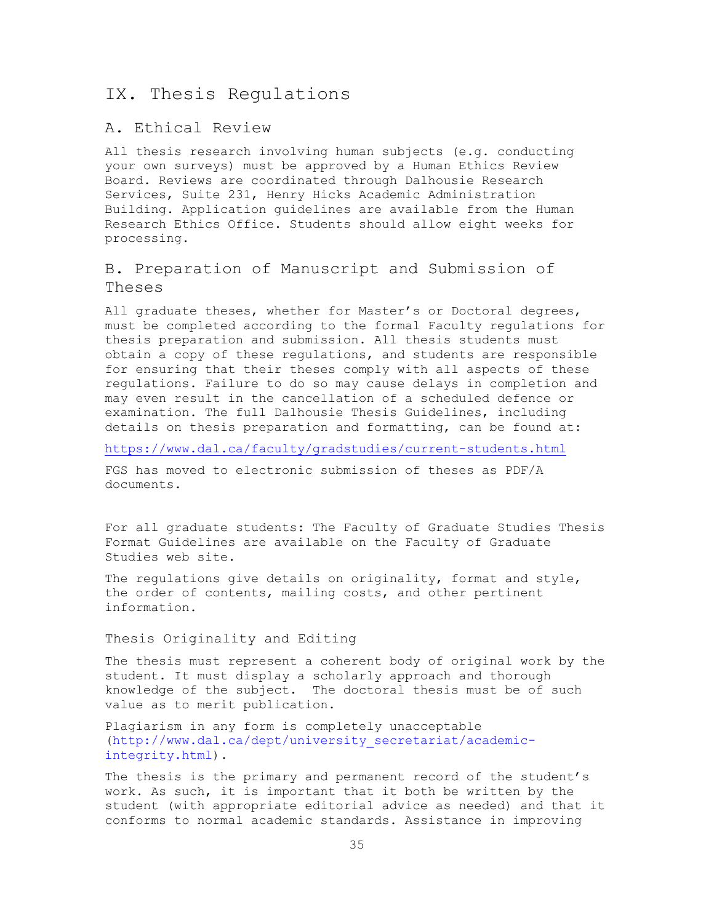## <span id="page-35-0"></span>IX. Thesis Regulations

## <span id="page-35-1"></span>A. Ethical Review

All thesis research involving human subjects (e.g. conducting your own surveys) must be approved by a Human Ethics Review Board. Reviews are coordinated through Dalhousie Research Services, Suite 231, Henry Hicks Academic Administration Building. Application guidelines are available from the Human Research Ethics Office. Students should allow eight weeks for processing.

## <span id="page-35-2"></span>B. Preparation of Manuscript and Submission of Theses

All graduate theses, whether for Master's or Doctoral degrees, must be completed according to the formal Faculty regulations for thesis preparation and submission. All thesis students must obtain a copy of these regulations, and students are responsible for ensuring that their theses comply with all aspects of these regulations. Failure to do so may cause delays in completion and may even result in the cancellation of a scheduled defence or examination. The full Dalhousie Thesis Guidelines, including details on thesis preparation and formatting, can be found at:

<https://www.dal.ca/faculty/gradstudies/current-students.html>

FGS has moved to electronic submission of theses as PDF/A documents.

For all graduate students: The Faculty of Graduate Studies Thesis Format Guidelines are available on the Faculty of Graduate Studies web site.

The regulations give details on originality, format and style, the order of contents, mailing costs, and other pertinent information.

#### <span id="page-35-3"></span>Thesis Originality and Editing

The thesis must represent a coherent body of original work by the student. It must display a scholarly approach and thorough knowledge of the subject. The doctoral thesis must be of such value as to merit publication.

Plagiarism in any form is completely unacceptable [\(http://www.dal.ca/dept/university\\_secretariat/academic](http://www.dal.ca/dept/university_secretariat/academic-integrity.html)[integrity.html\)](http://www.dal.ca/dept/university_secretariat/academic-integrity.html).

The thesis is the primary and permanent record of the student's work. As such, it is important that it both be written by the student (with appropriate editorial advice as needed) and that it conforms to normal academic standards. Assistance in improving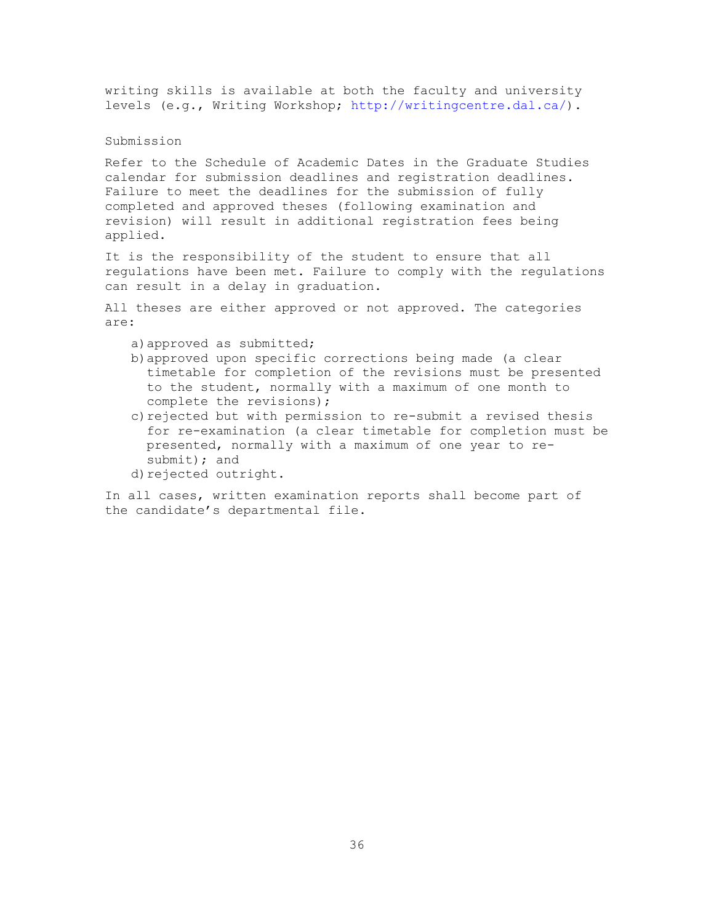writing skills is available at both the faculty and university levels (e.g., Writing Workshop; [http://writingcentre.dal.ca/\)](http://writingcentre.dal.ca/).

### Submission

Refer to the Schedule of Academic Dates in the Graduate Studies calendar for submission deadlines and registration deadlines. Failure to meet the deadlines for the submission of fully completed and approved theses (following examination and revision) will result in additional registration fees being applied.

It is the responsibility of the student to ensure that all regulations have been met. Failure to comply with the regulations can result in a delay in graduation.

All theses are either approved or not approved. The categories are:

- a)approved as submitted;
- b)approved upon specific corrections being made (a clear timetable for completion of the revisions must be presented to the student, normally with a maximum of one month to complete the revisions);
- c) rejected but with permission to re-submit a revised thesis for re-examination (a clear timetable for completion must be presented, normally with a maximum of one year to resubmit); and
- d)rejected outright.

In all cases, written examination reports shall become part of the candidate's departmental file.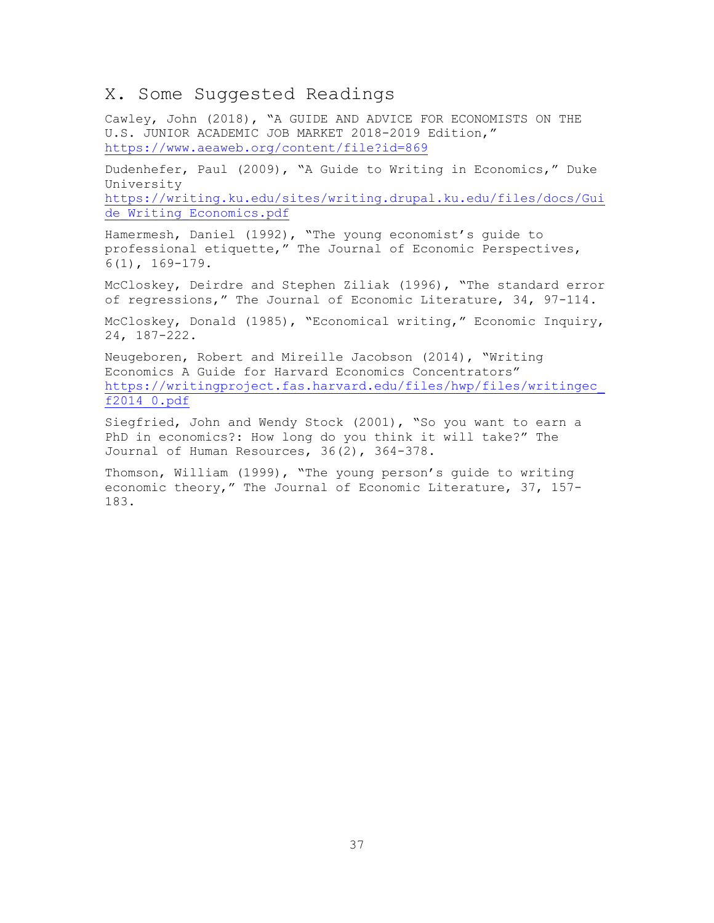## <span id="page-37-0"></span>X. Some Suggested Readings

Cawley, John (2018), "A GUIDE AND ADVICE FOR ECONOMISTS ON THE U.S. JUNIOR ACADEMIC JOB MARKET 2018-2019 Edition," <https://www.aeaweb.org/content/file?id=869>

Dudenhefer, Paul (2009), "A Guide to Writing in Economics," Duke University [https://writing.ku.edu/sites/writing.drupal.ku.edu/files/docs/Gui](https://writing.ku.edu/sites/writing.drupal.ku.edu/files/docs/Guide_Writing_Economics.pdf)

de Writing Economics.pdf

Hamermesh, Daniel (1992), "The young economist's guide to professional etiquette," The Journal of Economic Perspectives, 6(1), 169-179.

McCloskey, Deirdre and Stephen Ziliak (1996), "The standard error of regressions," The Journal of Economic Literature, 34, 97-114.

McCloskey, Donald (1985), "Economical writing," Economic Inquiry, 24, 187-222.

Neugeboren, Robert and Mireille Jacobson (2014), "Writing Economics A Guide for Harvard Economics Concentrators" [https://writingproject.fas.harvard.edu/files/hwp/files/writingec\\_](https://writingproject.fas.harvard.edu/files/hwp/files/writingec_f2014_0.pdf) [f2014\\_0.pdf](https://writingproject.fas.harvard.edu/files/hwp/files/writingec_f2014_0.pdf)

Siegfried, John and Wendy Stock (2001), "So you want to earn a PhD in economics?: How long do you think it will take?" The Journal of Human Resources, 36(2), 364-378.

Thomson, William (1999), "The young person's guide to writing economic theory," The Journal of Economic Literature, 37, 157- 183.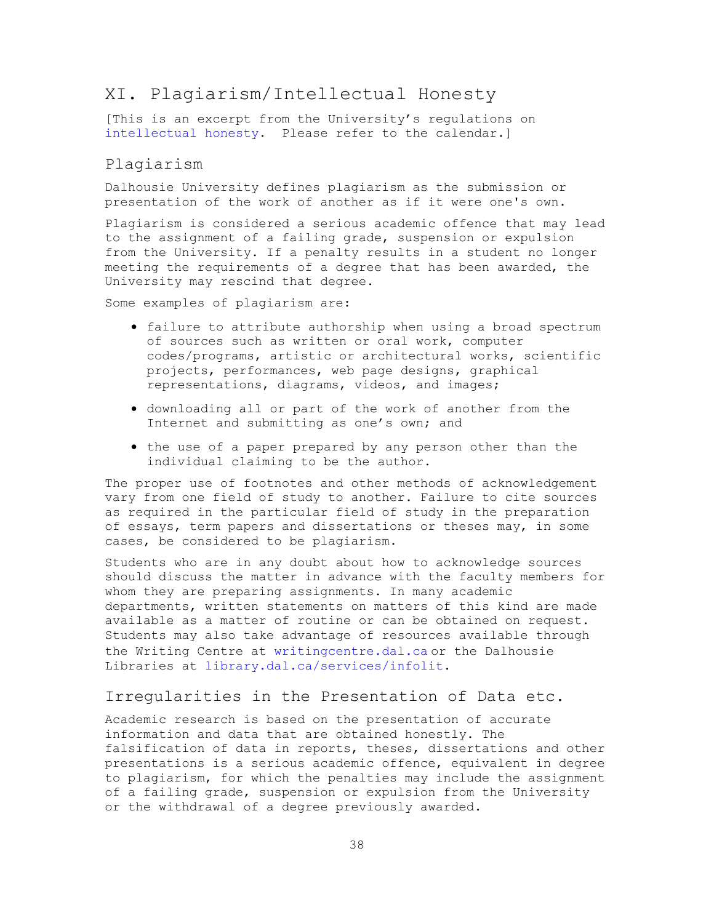## <span id="page-38-0"></span>XI. Plagiarism/Intellectual Honesty

[This is an excerpt from the University's regulations on [intellectual honesty.](https://academiccalendar.dal.ca/Catalog/ViewCatalog.aspx?pageid=viewcatalog&catalogid=112&chapterid=7140&topicgroupid=31376&loaduseredits=False) Please refer to the calendar.]

### <span id="page-38-1"></span>Plagiarism

Dalhousie University defines plagiarism as the submission or presentation of the work of another as if it were one's own.

Plagiarism is considered a serious academic offence that may lead to the assignment of a failing grade, suspension or expulsion from the University. If a penalty results in a student no longer meeting the requirements of a degree that has been awarded, the University may rescind that degree.

Some examples of plagiarism are:

- failure to attribute authorship when using a broad spectrum of sources such as written or oral work, computer codes/programs, artistic or architectural works, scientific projects, performances, web page designs, graphical representations, diagrams, videos, and images;
- downloading all or part of the work of another from the Internet and submitting as one's own; and
- the use of a paper prepared by any person other than the individual claiming to be the author.

The proper use of footnotes and other methods of acknowledgement vary from one field of study to another. Failure to cite sources as required in the particular field of study in the preparation of essays, term papers and dissertations or theses may, in some cases, be considered to be plagiarism.

Students who are in any doubt about how to acknowledge sources should discuss the matter in advance with the faculty members for whom they are preparing assignments. In many academic departments, written statements on matters of this kind are made available as a matter of routine or can be obtained on request. Students may also take advantage of resources available through the Writing Centre at [writingcentre.dal.ca](http://writingcentre.dal.ca/) or the Dalhousie Libraries at [library.dal.ca/services/infolit.](http://library.dal.ca/services/infolit)

#### <span id="page-38-2"></span>Irregularities in the Presentation of Data etc.

Academic research is based on the presentation of accurate information and data that are obtained honestly. The falsification of data in reports, theses, dissertations and other presentations is a serious academic offence, equivalent in degree to plagiarism, for which the penalties may include the assignment of a failing grade, suspension or expulsion from the University or the withdrawal of a degree previously awarded.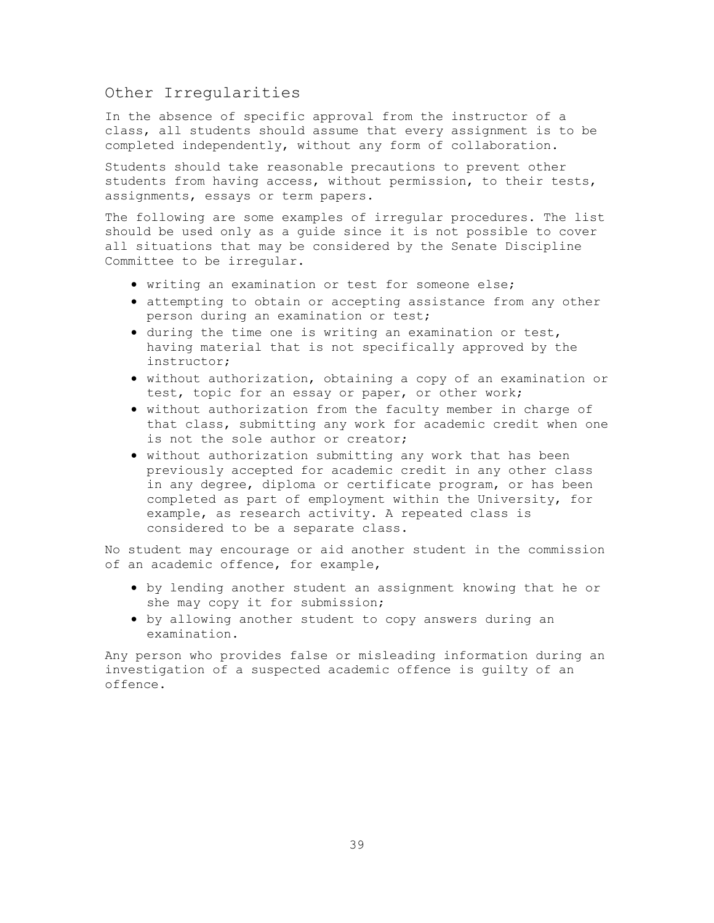### <span id="page-39-0"></span>Other Irregularities

In the absence of specific approval from the instructor of a class, all students should assume that every assignment is to be completed independently, without any form of collaboration.

Students should take reasonable precautions to prevent other students from having access, without permission, to their tests, assignments, essays or term papers.

The following are some examples of irregular procedures. The list should be used only as a guide since it is not possible to cover all situations that may be considered by the Senate Discipline Committee to be irregular.

- writing an examination or test for someone else;
- attempting to obtain or accepting assistance from any other person during an examination or test;
- during the time one is writing an examination or test, having material that is not specifically approved by the instructor;
- without authorization, obtaining a copy of an examination or test, topic for an essay or paper, or other work;
- without authorization from the faculty member in charge of that class, submitting any work for academic credit when one is not the sole author or creator;
- without authorization submitting any work that has been previously accepted for academic credit in any other class in any degree, diploma or certificate program, or has been completed as part of employment within the University, for example, as research activity. A repeated class is considered to be a separate class.

No student may encourage or aid another student in the commission of an academic offence, for example,

- by lending another student an assignment knowing that he or she may copy it for submission;
- by allowing another student to copy answers during an examination.

Any person who provides false or misleading information during an investigation of a suspected academic offence is guilty of an offence.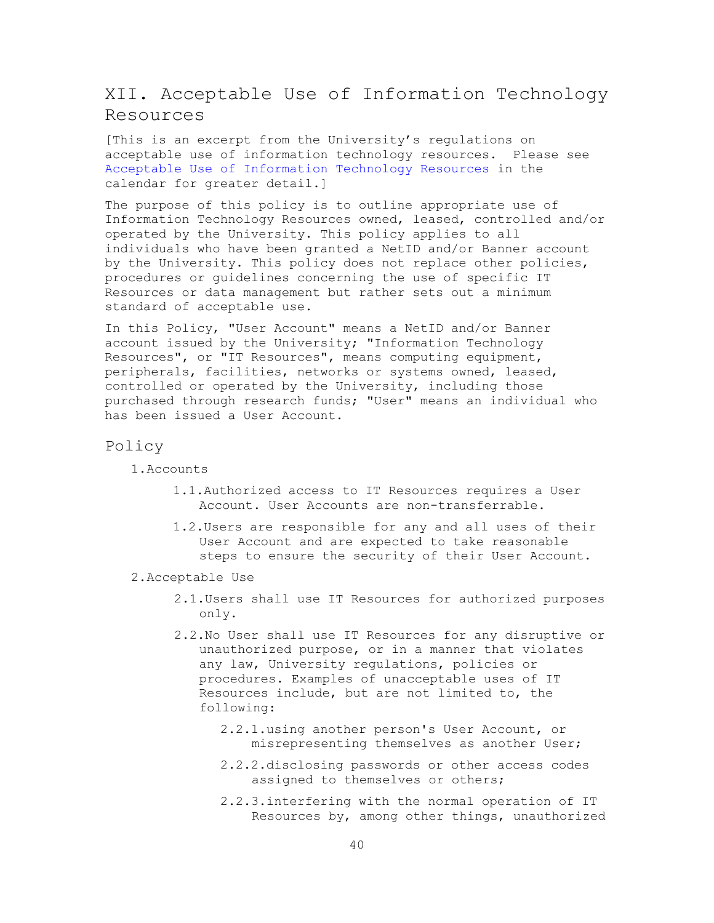## <span id="page-40-0"></span>XII. Acceptable Use of Information Technology Resources

[This is an excerpt from the University's regulations on acceptable use of information technology resources. Please see [Acceptable Use of Information Technology Resources](https://academiccalendar.dal.ca/Catalog/ViewCatalog.aspx?pageid=viewcatalog&catalogid=112&chapterid=7140&topicgroupid=31384&loaduseredits=False) in the calendar for greater detail.]

The purpose of this policy is to outline appropriate use of Information Technology Resources owned, leased, controlled and/or operated by the University. This policy applies to all individuals who have been granted a NetID and/or Banner account by the University. This policy does not replace other policies, procedures or guidelines concerning the use of specific IT Resources or data management but rather sets out a minimum standard of acceptable use.

In this Policy, "User Account" means a NetID and/or Banner account issued by the University; "Information Technology Resources", or "IT Resources", means computing equipment, peripherals, facilities, networks or systems owned, leased, controlled or operated by the University, including those purchased through research funds; "User" means an individual who has been issued a User Account.

#### <span id="page-40-1"></span>Policy

1.Accounts

- 1.1.Authorized access to IT Resources requires a User Account. User Accounts are non-transferrable.
- 1.2.Users are responsible for any and all uses of their User Account and are expected to take reasonable steps to ensure the security of their User Account.
- 2.Acceptable Use
	- 2.1.Users shall use IT Resources for authorized purposes only.
	- 2.2.No User shall use IT Resources for any disruptive or unauthorized purpose, or in a manner that violates any law, University regulations, policies or procedures. Examples of unacceptable uses of IT Resources include, but are not limited to, the following:
		- 2.2.1.using another person's User Account, or misrepresenting themselves as another User;
		- 2.2.2.disclosing passwords or other access codes assigned to themselves or others;
		- 2.2.3.interfering with the normal operation of IT Resources by, among other things, unauthorized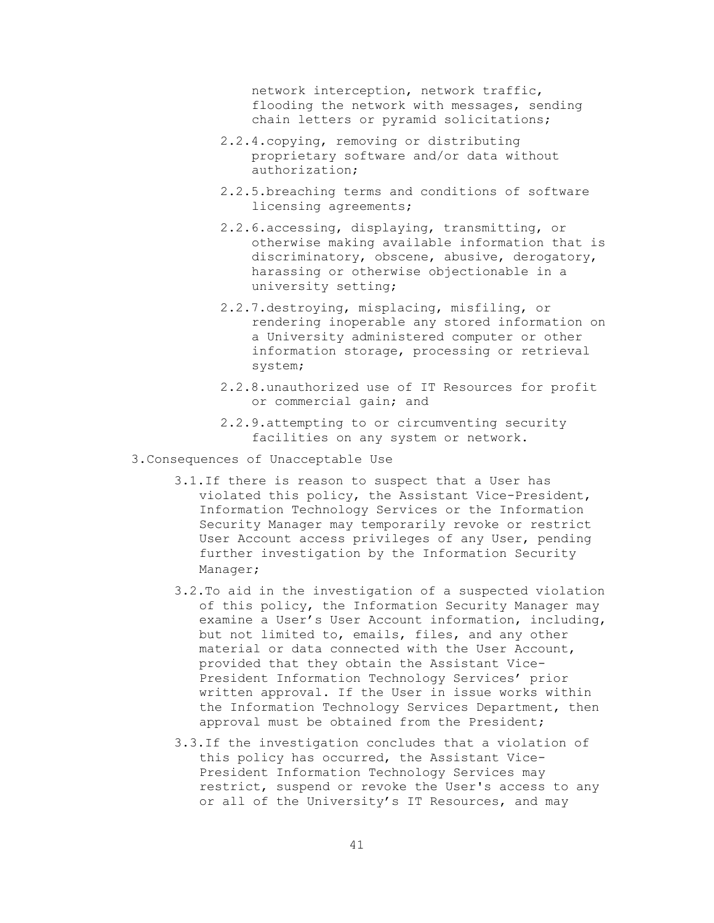network interception, network traffic, flooding the network with messages, sending chain letters or pyramid solicitations;

- 2.2.4.copying, removing or distributing proprietary software and/or data without authorization;
- 2.2.5.breaching terms and conditions of software licensing agreements;
- 2.2.6.accessing, displaying, transmitting, or otherwise making available information that is discriminatory, obscene, abusive, derogatory, harassing or otherwise objectionable in a university setting;
- 2.2.7.destroying, misplacing, misfiling, or rendering inoperable any stored information on a University administered computer or other information storage, processing or retrieval system;
- 2.2.8.unauthorized use of IT Resources for profit or commercial gain; and
- 2.2.9.attempting to or circumventing security facilities on any system or network.
- 3.Consequences of Unacceptable Use
	- 3.1.If there is reason to suspect that a User has violated this policy, the Assistant Vice-President, Information Technology Services or the Information Security Manager may temporarily revoke or restrict User Account access privileges of any User, pending further investigation by the Information Security Manager;
	- 3.2.To aid in the investigation of a suspected violation of this policy, the Information Security Manager may examine a User's User Account information, including, but not limited to, emails, files, and any other material or data connected with the User Account, provided that they obtain the Assistant Vice-President Information Technology Services' prior written approval. If the User in issue works within the Information Technology Services Department, then approval must be obtained from the President;
	- 3.3.If the investigation concludes that a violation of this policy has occurred, the Assistant Vice-President Information Technology Services may restrict, suspend or revoke the User's access to any or all of the University's IT Resources, and may